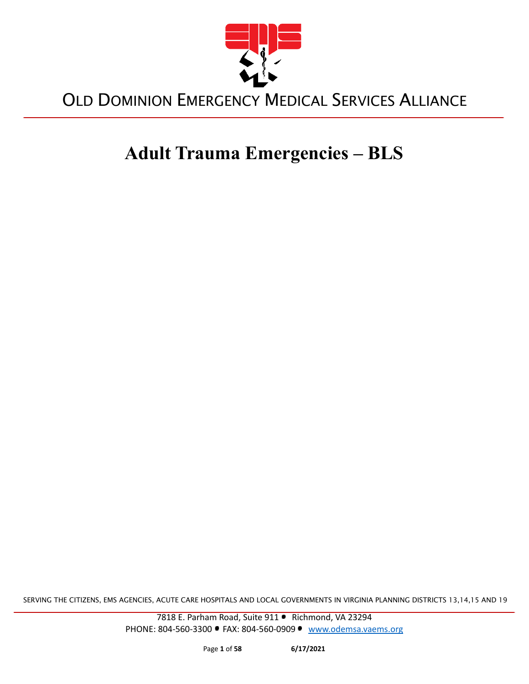

# **Adult Trauma Emergencies – BLS**

SERVING THE CITIZENS, EMS AGENCIES, ACUTE CARE HOSPITALS AND LOCAL GOVERNMENTS IN VIRGINIA PLANNING DISTRICTS 13,14,15 AND 19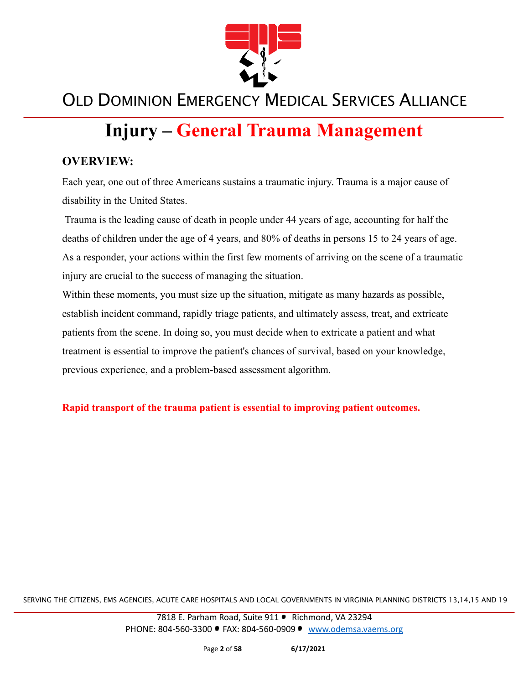

# **Injury – General Trauma Management**

#### **OVERVIEW:**

Each year, one out of three Americans sustains a traumatic injury. Trauma is a major cause of disability in the United States.

Trauma is the leading cause of death in people under 44 years of age, accounting for half the deaths of children under the age of 4 years, and 80% of deaths in persons 15 to 24 years of age. As a responder, your actions within the first few moments of arriving on the scene of a traumatic injury are crucial to the success of managing the situation.

Within these moments, you must size up the situation, mitigate as many hazards as possible, establish incident command, rapidly triage patients, and ultimately assess, treat, and extricate patients from the scene. In doing so, you must decide when to extricate a patient and what treatment is essential to improve the patient's chances of survival, based on your knowledge, previous experience, and a problem-based assessment algorithm.

**Rapid transport of the trauma patient is essential to improving patient outcomes.**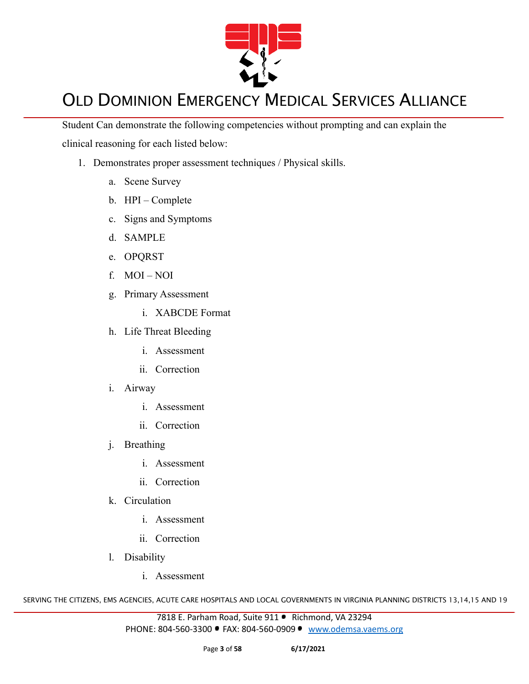

Student Can demonstrate the following competencies without prompting and can explain the clinical reasoning for each listed below:

- 1. Demonstrates proper assessment techniques / Physical skills.
	- a. Scene Survey
	- b. HPI Complete
	- c. Signs and Symptoms
	- d. SAMPLE
	- e. OPQRST
	- f. MOI NOI
	- g. Primary Assessment
		- i. XABCDE Format
	- h. Life Threat Bleeding
		- i. Assessment
		- ii. Correction
	- i. Airway
		- i. Assessment
		- ii. Correction
	- j. Breathing
		- i. Assessment
		- ii. Correction
	- k. Circulation
		- i. Assessment
		- ii. Correction
	- l. Disability
		- i. Assessment

SERVING THE CITIZENS, EMS AGENCIES, ACUTE CARE HOSPITALS AND LOCAL GOVERNMENTS IN VIRGINIA PLANNING DISTRICTS 13,14,15 AND 19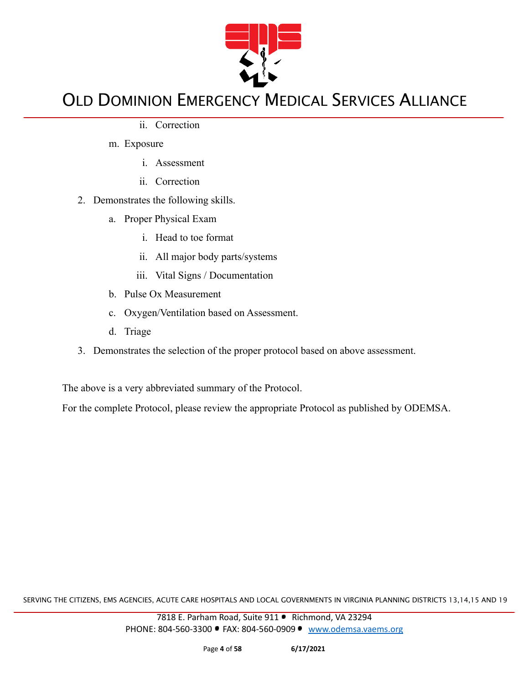

ii. Correction

m. Exposure

- i. Assessment
- ii. Correction
- 2. Demonstrates the following skills.
	- a. Proper Physical Exam
		- i. Head to toe format
		- ii. All major body parts/systems
		- iii. Vital Signs / Documentation
	- b. Pulse Ox Measurement
	- c. Oxygen/Ventilation based on Assessment.
	- d. Triage
- 3. Demonstrates the selection of the proper protocol based on above assessment.

The above is a very abbreviated summary of the Protocol.

For the complete Protocol, please review the appropriate Protocol as published by ODEMSA.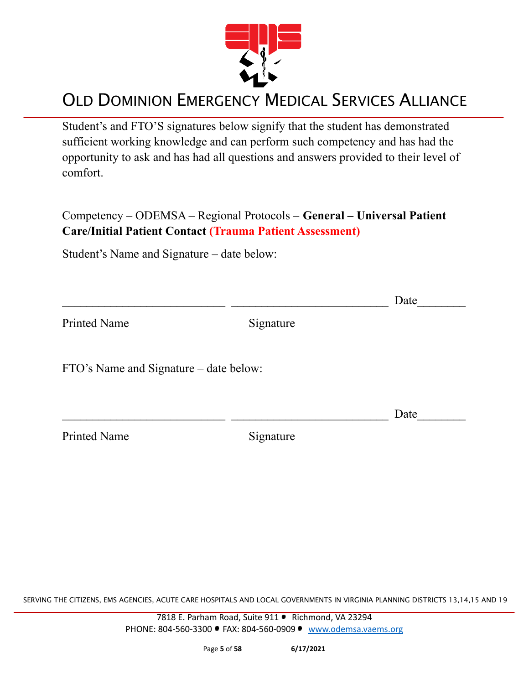

Student's and FTO'S signatures below signify that the student has demonstrated sufficient working knowledge and can perform such competency and has had the opportunity to ask and has had all questions and answers provided to their level of comfort.

Competency – ODEMSA – Regional Protocols – **General – Universal Patient Care/Initial Patient Contact (Trauma Patient Assessment)**

Student's Name and Signature – date below:

|                                        |           | Date |
|----------------------------------------|-----------|------|
| <b>Printed Name</b>                    | Signature |      |
| FTO's Name and Signature – date below: |           |      |
|                                        |           | Date |
| <b>Printed Name</b>                    | Signature |      |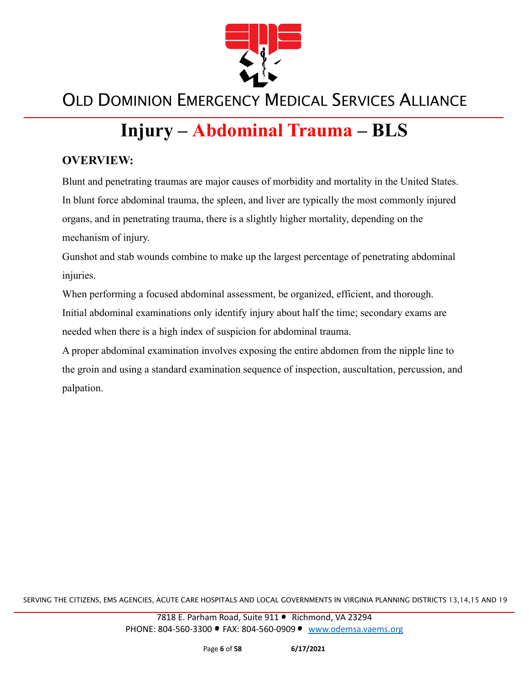

# **Injury – Abdominal Trauma – BLS**

#### **OVERVIEW:**

Blunt and penetrating traumas are major causes of morbidity and mortality in the United States. In blunt force abdominal trauma, the spleen, and liver are typically the most commonly injured organs, and in penetrating trauma, there is a slightly higher mortality, depending on the mechanism of injury.

Gunshot and stab wounds combine to make up the largest percentage of penetrating abdominal injuries.

When performing a focused abdominal assessment, be organized, efficient, and thorough. Initial abdominal examinations only identify injury about half the time; secondary exams are needed when there is a high index of suspicion for abdominal trauma.

A proper abdominal examination involves exposing the entire abdomen from the nipple line to the groin and using a standard examination sequence of inspection, auscultation, percussion, and palpation.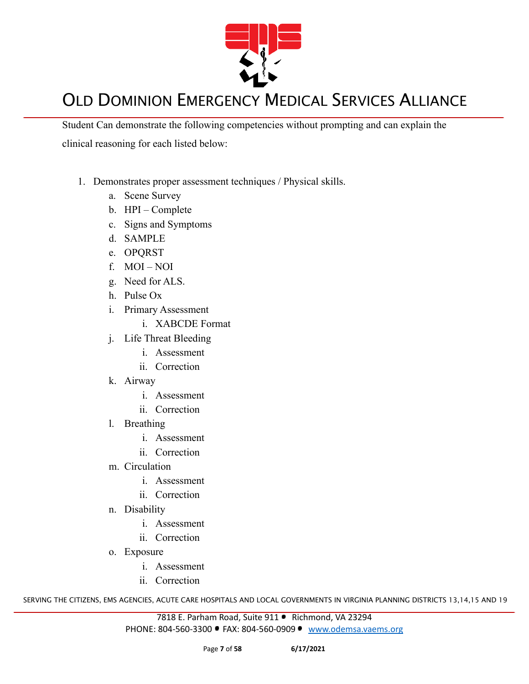

Student Can demonstrate the following competencies without prompting and can explain the clinical reasoning for each listed below:

- 1. Demonstrates proper assessment techniques / Physical skills.
	- a. Scene Survey
	- b. HPI Complete
	- c. Signs and Symptoms
	- d. SAMPLE
	- e. OPQRST
	- f. MOI NOI
	- g. Need for ALS.
	- h. Pulse Ox
	- i. Primary Assessment
		- i. XABCDE Format
	- j. Life Threat Bleeding
		- i. Assessment
		- ii. Correction
	- k. Airway
		- i. Assessment
		- ii. Correction
	- l. Breathing
		- i. Assessment
		- ii. Correction
	- m. Circulation
		- i. Assessment
		- ii. Correction
	- n. Disability
		- i. Assessment
		- ii. Correction
	- o. Exposure
		- i. Assessment
		- ii. Correction

SERVING THE CITIZENS, EMS AGENCIES, ACUTE CARE HOSPITALS AND LOCAL GOVERNMENTS IN VIRGINIA PLANNING DISTRICTS 13,14,15 AND 19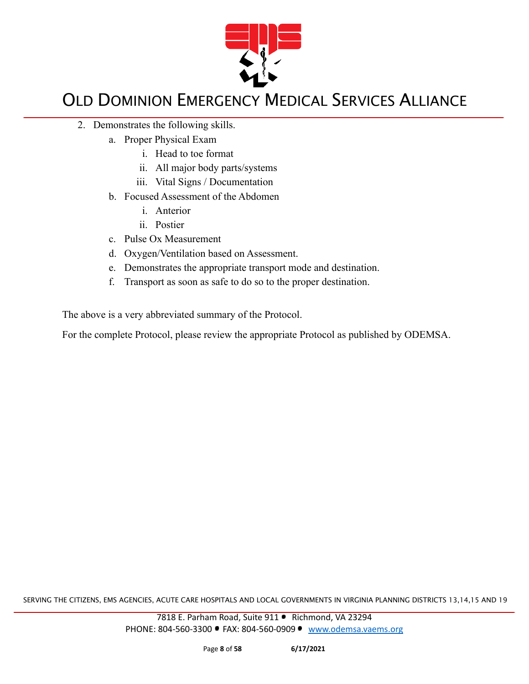

- 2. Demonstrates the following skills.
	- a. Proper Physical Exam
		- i. Head to toe format
		- ii. All major body parts/systems
		- iii. Vital Signs / Documentation
	- b. Focused Assessment of the Abdomen
		- i. Anterior
		- ii. Postier
	- c. Pulse Ox Measurement
	- d. Oxygen/Ventilation based on Assessment.
	- e. Demonstrates the appropriate transport mode and destination.
	- f. Transport as soon as safe to do so to the proper destination.

The above is a very abbreviated summary of the Protocol.

For the complete Protocol, please review the appropriate Protocol as published by ODEMSA.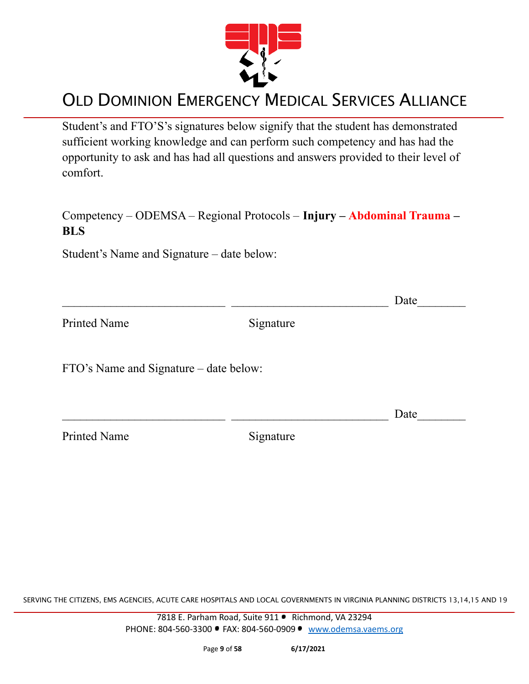

Student's and FTO'S's signatures below signify that the student has demonstrated sufficient working knowledge and can perform such competency and has had the opportunity to ask and has had all questions and answers provided to their level of comfort.

#### Competency – ODEMSA – Regional Protocols – **Injury – Abdominal Trauma – BLS**

Student's Name and Signature – date below:

|                                        |           | Date |
|----------------------------------------|-----------|------|
| <b>Printed Name</b>                    | Signature |      |
| FTO's Name and Signature – date below: |           |      |
|                                        |           | Date |
| <b>Printed Name</b>                    | Signature |      |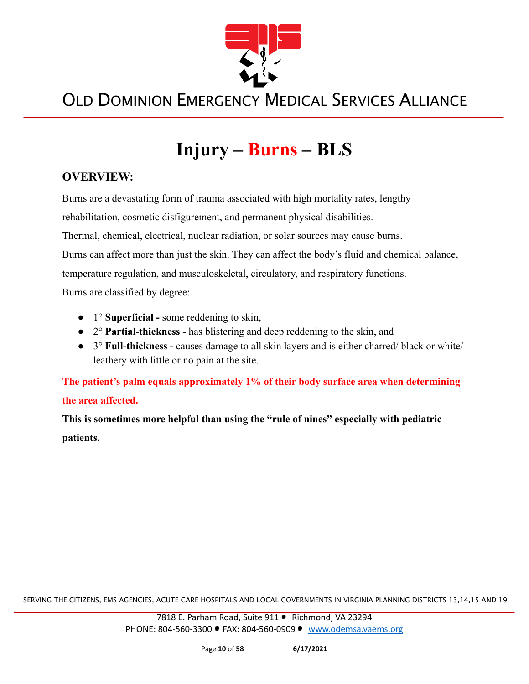

# **Injury – Burns – BLS**

#### **OVERVIEW:**

Burns are a devastating form of trauma associated with high mortality rates, lengthy rehabilitation, cosmetic disfigurement, and permanent physical disabilities. Thermal, chemical, electrical, nuclear radiation, or solar sources may cause burns. Burns can affect more than just the skin. They can affect the body's fluid and chemical balance, temperature regulation, and musculoskeletal, circulatory, and respiratory functions. Burns are classified by degree:

- 1° **Superficial -** some reddening to skin,
- 2° **Partial-thickness -** has blistering and deep reddening to the skin, and
- 3° **Full-thickness -** causes damage to all skin layers and is either charred/ black or white/ leathery with little or no pain at the site.

**The patient's palm equals approximately 1% of their body surface area when determining the area affected.**

**This is sometimes more helpful than using the "rule of nines" especially with pediatric patients.**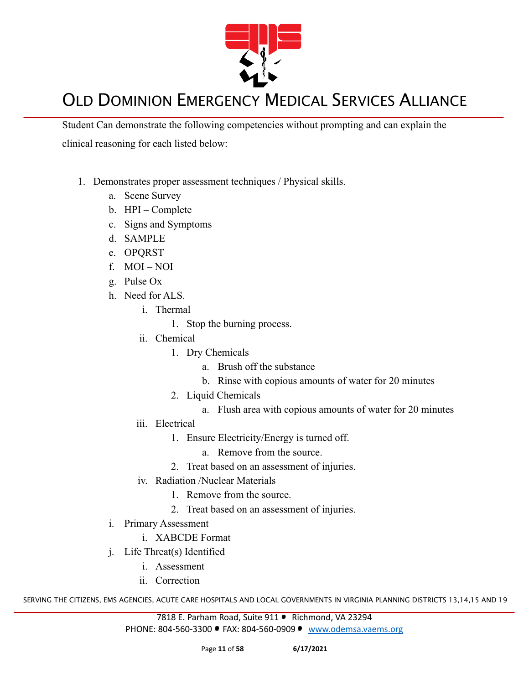

Student Can demonstrate the following competencies without prompting and can explain the clinical reasoning for each listed below:

- 1. Demonstrates proper assessment techniques / Physical skills.
	- a. Scene Survey
	- b. HPI Complete
	- c. Signs and Symptoms
	- d. SAMPLE
	- e. OPQRST
	- f. MOI NOI
	- g. Pulse Ox
	- h. Need for ALS.
		- i. Thermal
			- 1. Stop the burning process.
		- ii. Chemical
			- 1. Dry Chemicals
				- a. Brush off the substance
				- b. Rinse with copious amounts of water for 20 minutes
			- 2. Liquid Chemicals
				- a. Flush area with copious amounts of water for 20 minutes
		- iii. Electrical
			- 1. Ensure Electricity/Energy is turned off.
				- a. Remove from the source.
			- 2. Treat based on an assessment of injuries.
		- iv. Radiation /Nuclear Materials
			- 1. Remove from the source.
			- 2. Treat based on an assessment of injuries.
	- i. Primary Assessment
		- i. XABCDE Format
	- j. Life Threat(s) Identified
		- i. Assessment
		- ii. Correction

SERVING THE CITIZENS, EMS AGENCIES, ACUTE CARE HOSPITALS AND LOCAL GOVERNMENTS IN VIRGINIA PLANNING DISTRICTS 13,14,15 AND 19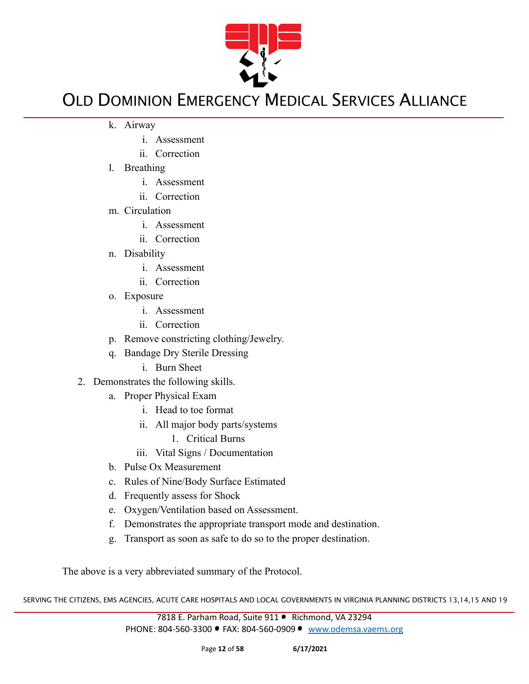

- k. Airway
	- i. Assessment
	- ii. Correction
- l. Breathing
	- i. Assessment
	- ii. Correction
- m. Circulation
	- i. Assessment
	- ii. Correction
- n. Disability
	- i. Assessment
	- ii. Correction
- o. Exposure
	- i. Assessment
	- ii. Correction
- p. Remove constricting clothing/Jewelry.
- q. Bandage Dry Sterile Dressing
	- i. Burn Sheet
- 2. Demonstrates the following skills.
	- a. Proper Physical Exam
		- i. Head to toe format
		- ii. All major body parts/systems
			- 1. Critical Burns
		- iii. Vital Signs / Documentation
	- b. Pulse Ox Measurement
	- c. Rules of Nine/Body Surface Estimated
	- d. Frequently assess for Shock
	- e. Oxygen/Ventilation based on Assessment.
	- f. Demonstrates the appropriate transport mode and destination.
	- g. Transport as soon as safe to do so to the proper destination.

The above is a very abbreviated summary of the Protocol.

SERVING THE CITIZENS, EMS AGENCIES, ACUTE CARE HOSPITALS AND LOCAL GOVERNMENTS IN VIRGINIA PLANNING DISTRICTS 13,14,15 AND 19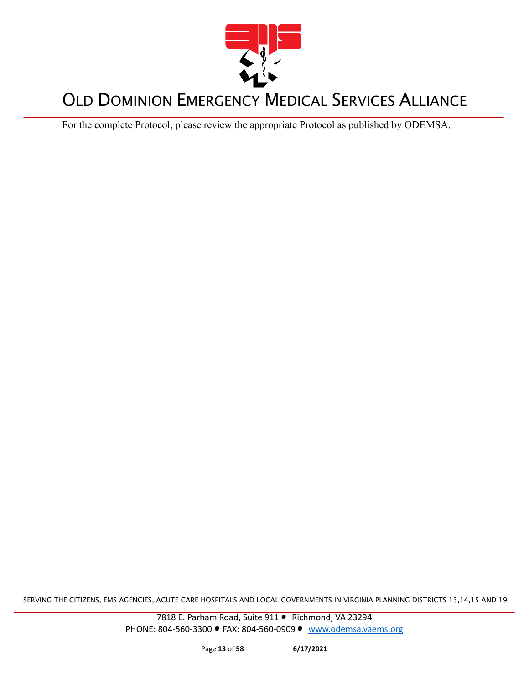

For the complete Protocol, please review the appropriate Protocol as published by ODEMSA.

SERVING THE CITIZENS, EMS AGENCIES, ACUTE CARE HOSPITALS AND LOCAL GOVERNMENTS IN VIRGINIA PLANNING DISTRICTS 13,14,15 AND 19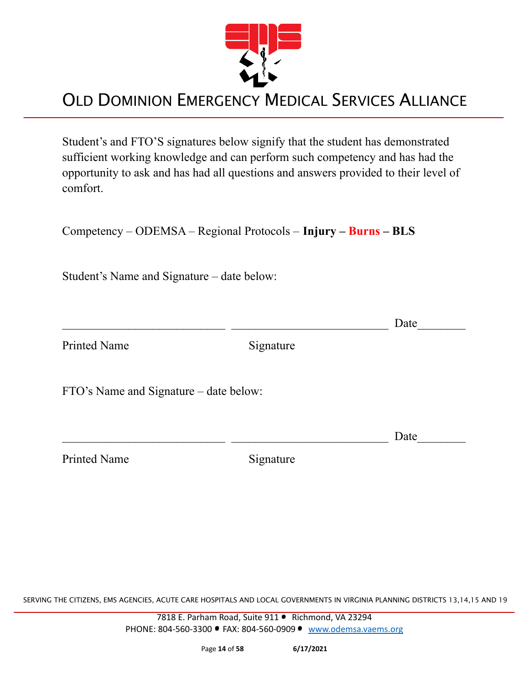

Student's and FTO'S signatures below signify that the student has demonstrated sufficient working knowledge and can perform such competency and has had the opportunity to ask and has had all questions and answers provided to their level of comfort.

Competency – ODEMSA – Regional Protocols – **Injury – Burns – BLS**

Student's Name and Signature – date below:

|                                        |           | Date |
|----------------------------------------|-----------|------|
| <b>Printed Name</b>                    | Signature |      |
| FTO's Name and Signature – date below: |           |      |
|                                        |           | Date |
| <b>Printed Name</b>                    | Signature |      |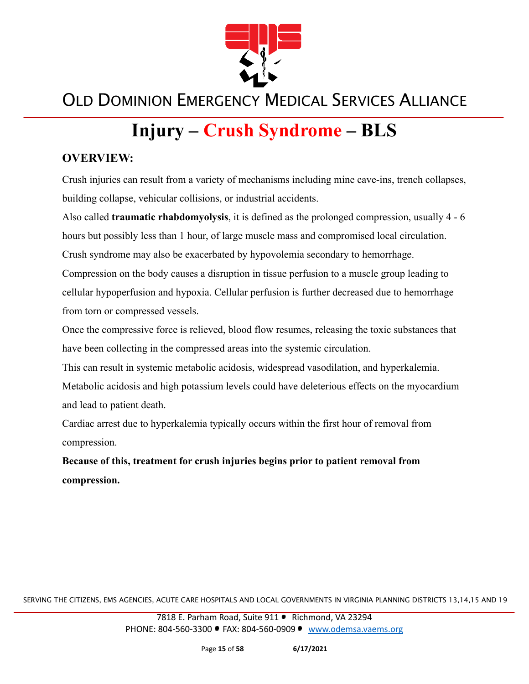

# **Injury – Crush Syndrome – BLS**

#### **OVERVIEW:**

Crush injuries can result from a variety of mechanisms including mine cave-ins, trench collapses, building collapse, vehicular collisions, or industrial accidents.

Also called **traumatic rhabdomyolysis**, it is defined as the prolonged compression, usually 4 - 6 hours but possibly less than 1 hour, of large muscle mass and compromised local circulation. Crush syndrome may also be exacerbated by hypovolemia secondary to hemorrhage.

Compression on the body causes a disruption in tissue perfusion to a muscle group leading to cellular hypoperfusion and hypoxia. Cellular perfusion is further decreased due to hemorrhage from torn or compressed vessels.

Once the compressive force is relieved, blood flow resumes, releasing the toxic substances that have been collecting in the compressed areas into the systemic circulation.

This can result in systemic metabolic acidosis, widespread vasodilation, and hyperkalemia. Metabolic acidosis and high potassium levels could have deleterious effects on the myocardium and lead to patient death.

Cardiac arrest due to hyperkalemia typically occurs within the first hour of removal from compression.

**Because of this, treatment for crush injuries begins prior to patient removal from compression.**

SERVING THE CITIZENS, EMS AGENCIES, ACUTE CARE HOSPITALS AND LOCAL GOVERNMENTS IN VIRGINIA PLANNING DISTRICTS 13,14,15 AND 19

7818 E. Parham Road, Suite 911 · Richmond, VA 23294 PHONE: 804-560-3300 FAX: 804-560-0909 [www.odemsa.vaems.org](http://www.odemsa.vaems.org)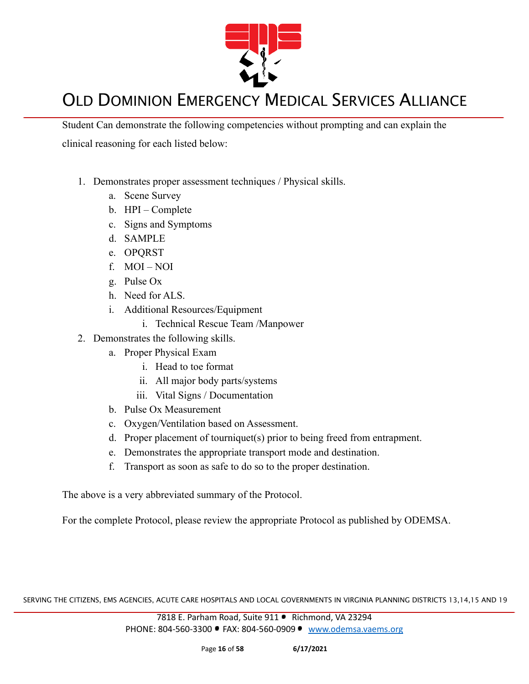

Student Can demonstrate the following competencies without prompting and can explain the clinical reasoning for each listed below:

- 1. Demonstrates proper assessment techniques / Physical skills.
	- a. Scene Survey
	- b. HPI Complete
	- c. Signs and Symptoms
	- d. SAMPLE
	- e. OPQRST
	- f. MOI NOI
	- g. Pulse Ox
	- h. Need for ALS.
	- i. Additional Resources/Equipment
		- i. Technical Rescue Team /Manpower
- 2. Demonstrates the following skills.
	- a. Proper Physical Exam
		- i. Head to toe format
		- ii. All major body parts/systems
		- iii. Vital Signs / Documentation
	- b. Pulse Ox Measurement
	- c. Oxygen/Ventilation based on Assessment.
	- d. Proper placement of tourniquet(s) prior to being freed from entrapment.
	- e. Demonstrates the appropriate transport mode and destination.
	- f. Transport as soon as safe to do so to the proper destination.

The above is a very abbreviated summary of the Protocol.

For the complete Protocol, please review the appropriate Protocol as published by ODEMSA.

SERVING THE CITIZENS, EMS AGENCIES, ACUTE CARE HOSPITALS AND LOCAL GOVERNMENTS IN VIRGINIA PLANNING DISTRICTS 13,14,15 AND 19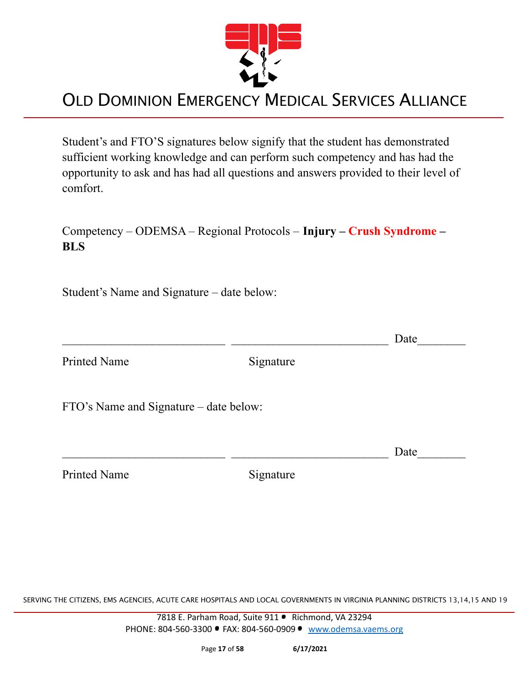

Student's and FTO'S signatures below signify that the student has demonstrated sufficient working knowledge and can perform such competency and has had the opportunity to ask and has had all questions and answers provided to their level of comfort.

Competency – ODEMSA – Regional Protocols – **Injury – Crush Syndrome – BLS**

Student's Name and Signature – date below:

 $\Box$  Date

Printed Name Signature

FTO's Name and Signature – date below:

Printed Name Signature

 $\Box$  Date

SERVING THE CITIZENS, EMS AGENCIES, ACUTE CARE HOSPITALS AND LOCAL GOVERNMENTS IN VIRGINIA PLANNING DISTRICTS 13,14,15 AND 19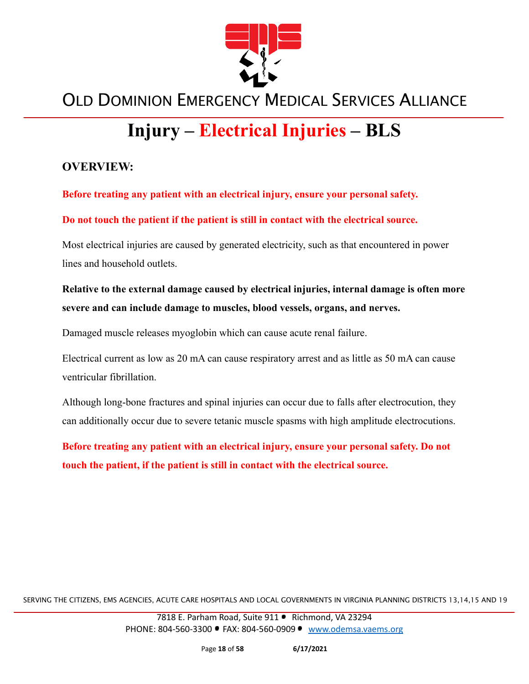

# **Injury – Electrical Injuries – BLS**

#### **OVERVIEW:**

**Before treating any patient with an electrical injury, ensure your personal safety.**

**Do not touch the patient if the patient is still in contact with the electrical source.**

Most electrical injuries are caused by generated electricity, such as that encountered in power lines and household outlets.

#### **Relative to the external damage caused by electrical injuries, internal damage is often more severe and can include damage to muscles, blood vessels, organs, and nerves.**

Damaged muscle releases myoglobin which can cause acute renal failure.

Electrical current as low as 20 mA can cause respiratory arrest and as little as 50 mA can cause ventricular fibrillation.

Although long-bone fractures and spinal injuries can occur due to falls after electrocution, they can additionally occur due to severe tetanic muscle spasms with high amplitude electrocutions.

**Before treating any patient with an electrical injury, ensure your personal safety. Do not touch the patient, if the patient is still in contact with the electrical source.**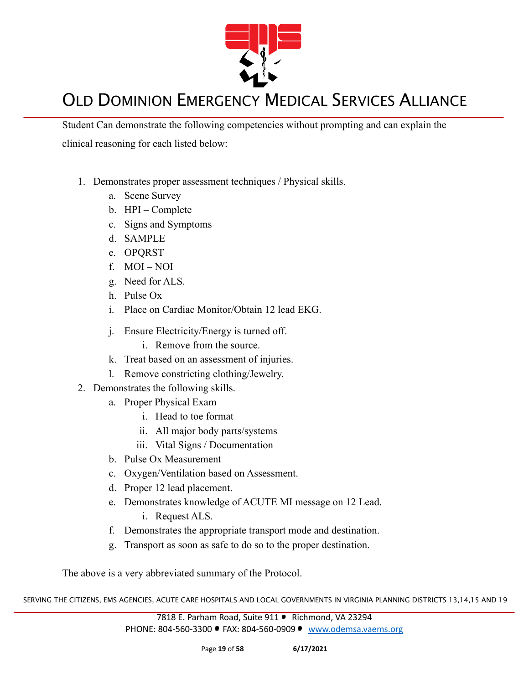

Student Can demonstrate the following competencies without prompting and can explain the clinical reasoning for each listed below:

- 1. Demonstrates proper assessment techniques / Physical skills.
	- a. Scene Survey
	- b. HPI Complete
	- c. Signs and Symptoms
	- d. SAMPLE
	- e. OPQRST
	- f. MOI NOI
	- g. Need for ALS.
	- h. Pulse Ox
	- i. Place on Cardiac Monitor/Obtain 12 lead EKG.
	- j. Ensure Electricity/Energy is turned off.
		- i. Remove from the source.
	- k. Treat based on an assessment of injuries.
	- l. Remove constricting clothing/Jewelry.
- 2. Demonstrates the following skills.
	- a. Proper Physical Exam
		- i. Head to toe format
		- ii. All major body parts/systems
		- iii. Vital Signs / Documentation
	- b. Pulse Ox Measurement
	- c. Oxygen/Ventilation based on Assessment.
	- d. Proper 12 lead placement.
	- e. Demonstrates knowledge of ACUTE MI message on 12 Lead.
		- i. Request ALS.
	- f. Demonstrates the appropriate transport mode and destination.
	- g. Transport as soon as safe to do so to the proper destination.

The above is a very abbreviated summary of the Protocol.

SERVING THE CITIZENS, EMS AGENCIES, ACUTE CARE HOSPITALS AND LOCAL GOVERNMENTS IN VIRGINIA PLANNING DISTRICTS 13,14,15 AND 19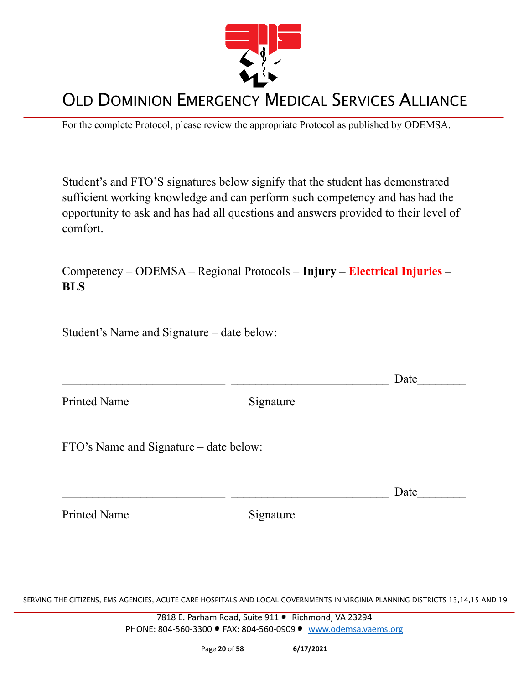

For the complete Protocol, please review the appropriate Protocol as published by ODEMSA.

Student's and FTO'S signatures below signify that the student has demonstrated sufficient working knowledge and can perform such competency and has had the opportunity to ask and has had all questions and answers provided to their level of comfort.

Competency – ODEMSA – Regional Protocols – **Injury – Electrical Injuries – BLS**

Student's Name and Signature – date below:

Printed Name Signature

 $\Box$  Date

FTO's Name and Signature – date below:

 $\Box$  Date

Printed Name Signature

SERVING THE CITIZENS, EMS AGENCIES, ACUTE CARE HOSPITALS AND LOCAL GOVERNMENTS IN VIRGINIA PLANNING DISTRICTS 13,14,15 AND 19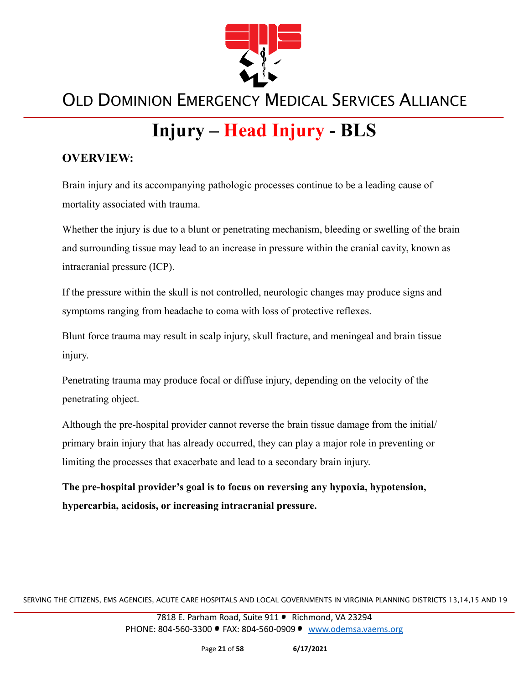

# **Injury – Head Injury - BLS**

#### **OVERVIEW:**

Brain injury and its accompanying pathologic processes continue to be a leading cause of mortality associated with trauma.

Whether the injury is due to a blunt or penetrating mechanism, bleeding or swelling of the brain and surrounding tissue may lead to an increase in pressure within the cranial cavity, known as intracranial pressure (ICP).

If the pressure within the skull is not controlled, neurologic changes may produce signs and symptoms ranging from headache to coma with loss of protective reflexes.

Blunt force trauma may result in scalp injury, skull fracture, and meningeal and brain tissue injury.

Penetrating trauma may produce focal or diffuse injury, depending on the velocity of the penetrating object.

Although the pre-hospital provider cannot reverse the brain tissue damage from the initial/ primary brain injury that has already occurred, they can play a major role in preventing or limiting the processes that exacerbate and lead to a secondary brain injury.

**The pre-hospital provider's goal is to focus on reversing any hypoxia, hypotension, hypercarbia, acidosis, or increasing intracranial pressure.**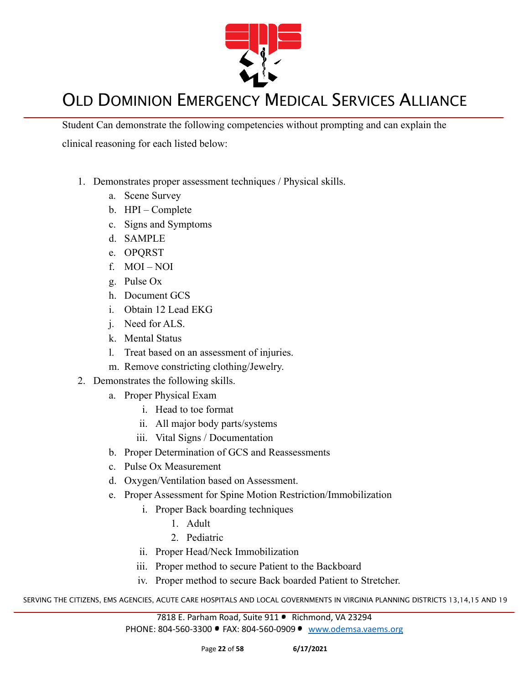

Student Can demonstrate the following competencies without prompting and can explain the clinical reasoning for each listed below:

- 1. Demonstrates proper assessment techniques / Physical skills.
	- a. Scene Survey
	- b. HPI Complete
	- c. Signs and Symptoms
	- d. SAMPLE
	- e. OPQRST
	- f. MOI NOI
	- g. Pulse Ox
	- h. Document GCS
	- i. Obtain 12 Lead EKG
	- j. Need for ALS.
	- k. Mental Status
	- l. Treat based on an assessment of injuries.
	- m. Remove constricting clothing/Jewelry.
- 2. Demonstrates the following skills.
	- a. Proper Physical Exam
		- i. Head to toe format
		- ii. All major body parts/systems
		- iii. Vital Signs / Documentation
	- b. Proper Determination of GCS and Reassessments
	- c. Pulse Ox Measurement
	- d. Oxygen/Ventilation based on Assessment.
	- e. Proper Assessment for Spine Motion Restriction/Immobilization
		- i. Proper Back boarding techniques
			- 1. Adult
			- 2. Pediatric
		- ii. Proper Head/Neck Immobilization
		- iii. Proper method to secure Patient to the Backboard
		- iv. Proper method to secure Back boarded Patient to Stretcher.

SERVING THE CITIZENS, EMS AGENCIES, ACUTE CARE HOSPITALS AND LOCAL GOVERNMENTS IN VIRGINIA PLANNING DISTRICTS 13,14,15 AND 19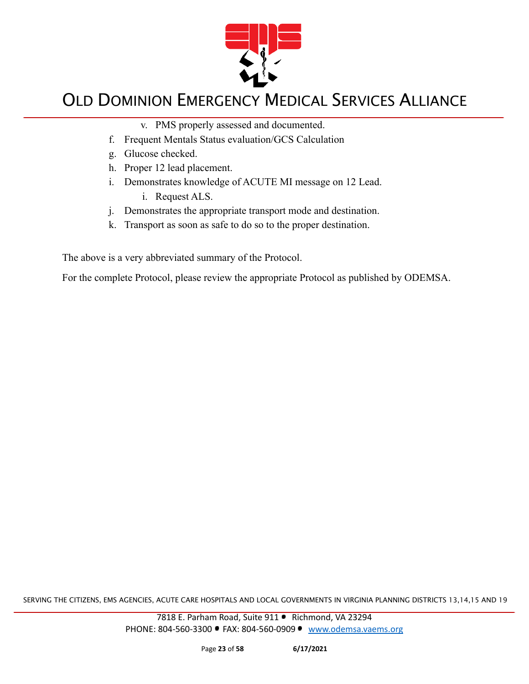

- v. PMS properly assessed and documented.
- f. Frequent Mentals Status evaluation/GCS Calculation
- g. Glucose checked.
- h. Proper 12 lead placement.
- i. Demonstrates knowledge of ACUTE MI message on 12 Lead.
	- i. Request ALS.
- j. Demonstrates the appropriate transport mode and destination.
- k. Transport as soon as safe to do so to the proper destination.

The above is a very abbreviated summary of the Protocol.

For the complete Protocol, please review the appropriate Protocol as published by ODEMSA.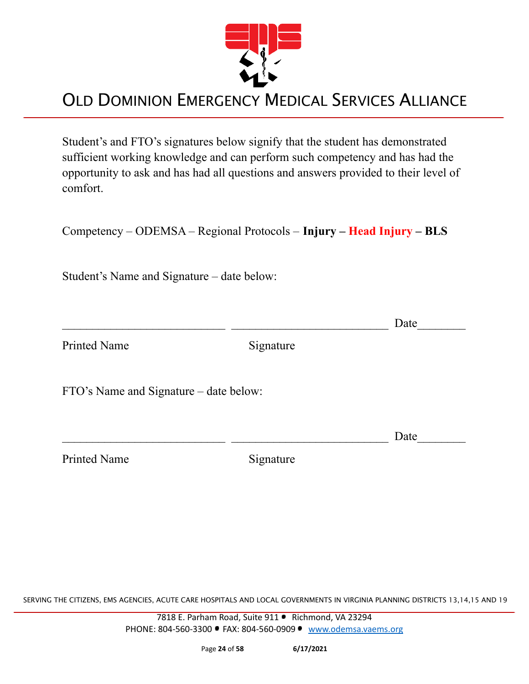

Student's and FTO's signatures below signify that the student has demonstrated sufficient working knowledge and can perform such competency and has had the opportunity to ask and has had all questions and answers provided to their level of comfort.

Competency – ODEMSA – Regional Protocols – **Injury – Head Injury – BLS**

Student's Name and Signature – date below:

 $\Box$  Date Printed Name Signature FTO's Name and Signature – date below:  $\Box$  Date

Printed Name Signature

SERVING THE CITIZENS, EMS AGENCIES, ACUTE CARE HOSPITALS AND LOCAL GOVERNMENTS IN VIRGINIA PLANNING DISTRICTS 13,14,15 AND 19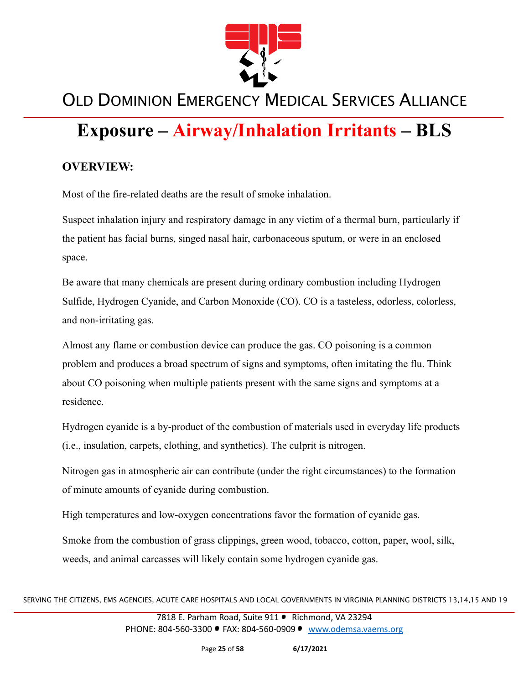

# **Exposure – Airway/Inhalation Irritants – BLS**

#### **OVERVIEW:**

Most of the fire-related deaths are the result of smoke inhalation.

Suspect inhalation injury and respiratory damage in any victim of a thermal burn, particularly if the patient has facial burns, singed nasal hair, carbonaceous sputum, or were in an enclosed space.

Be aware that many chemicals are present during ordinary combustion including Hydrogen Sulfide, Hydrogen Cyanide, and Carbon Monoxide (CO). CO is a tasteless, odorless, colorless, and non-irritating gas.

Almost any flame or combustion device can produce the gas. CO poisoning is a common problem and produces a broad spectrum of signs and symptoms, often imitating the flu. Think about CO poisoning when multiple patients present with the same signs and symptoms at a residence.

Hydrogen cyanide is a by-product of the combustion of materials used in everyday life products (i.e., insulation, carpets, clothing, and synthetics). The culprit is nitrogen.

Nitrogen gas in atmospheric air can contribute (under the right circumstances) to the formation of minute amounts of cyanide during combustion.

High temperatures and low-oxygen concentrations favor the formation of cyanide gas.

Smoke from the combustion of grass clippings, green wood, tobacco, cotton, paper, wool, silk, weeds, and animal carcasses will likely contain some hydrogen cyanide gas.

SERVING THE CITIZENS, EMS AGENCIES, ACUTE CARE HOSPITALS AND LOCAL GOVERNMENTS IN VIRGINIA PLANNING DISTRICTS 13,14,15 AND 19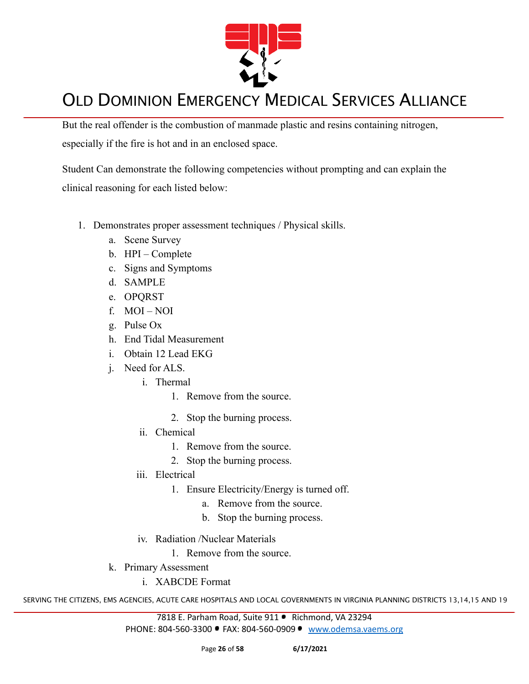

But the real offender is the combustion of manmade plastic and resins containing nitrogen, especially if the fire is hot and in an enclosed space.

Student Can demonstrate the following competencies without prompting and can explain the clinical reasoning for each listed below:

- 1. Demonstrates proper assessment techniques / Physical skills.
	- a. Scene Survey
	- b. HPI Complete
	- c. Signs and Symptoms
	- d. SAMPLE
	- e. OPQRST
	- f. MOI NOI
	- g. Pulse Ox
	- h. End Tidal Measurement
	- i. Obtain 12 Lead EKG
	- j. Need for ALS.
		- i. Thermal
			- 1. Remove from the source.
			- 2. Stop the burning process.
		- ii. Chemical
			- 1. Remove from the source.
			- 2. Stop the burning process.
		- iii. Electrical
			- 1. Ensure Electricity/Energy is turned off.
				- a. Remove from the source.
				- b. Stop the burning process.
		- iv. Radiation /Nuclear Materials
			- 1. Remove from the source.
	- k. Primary Assessment
		- i. XABCDE Format

SERVING THE CITIZENS, EMS AGENCIES, ACUTE CARE HOSPITALS AND LOCAL GOVERNMENTS IN VIRGINIA PLANNING DISTRICTS 13,14,15 AND 19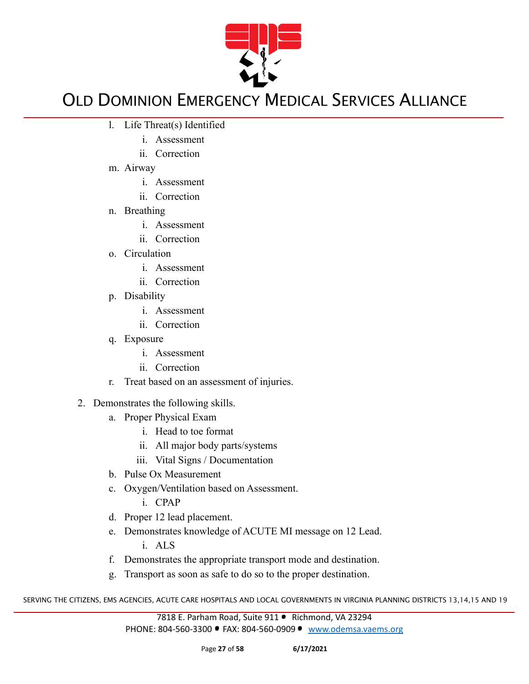

- l. Life Threat(s) Identified
	- i. Assessment
	- ii. Correction
- m. Airway
	- i. Assessment
	- ii. Correction
- n. Breathing
	- i. Assessment
	- ii. Correction
- o. Circulation
	- i. Assessment
	- ii. Correction
- p. Disability
	- i. Assessment
	- ii. Correction
- q. Exposure
	- i. Assessment
	- ii. Correction
- r. Treat based on an assessment of injuries.
- 2. Demonstrates the following skills.
	- a. Proper Physical Exam
		- i. Head to toe format
		- ii. All major body parts/systems
		- iii. Vital Signs / Documentation
	- b. Pulse Ox Measurement
	- c. Oxygen/Ventilation based on Assessment.
		- i. CPAP
	- d. Proper 12 lead placement.
	- e. Demonstrates knowledge of ACUTE MI message on 12 Lead.

i. ALS

- f. Demonstrates the appropriate transport mode and destination.
- g. Transport as soon as safe to do so to the proper destination.

SERVING THE CITIZENS, EMS AGENCIES, ACUTE CARE HOSPITALS AND LOCAL GOVERNMENTS IN VIRGINIA PLANNING DISTRICTS 13,14,15 AND 19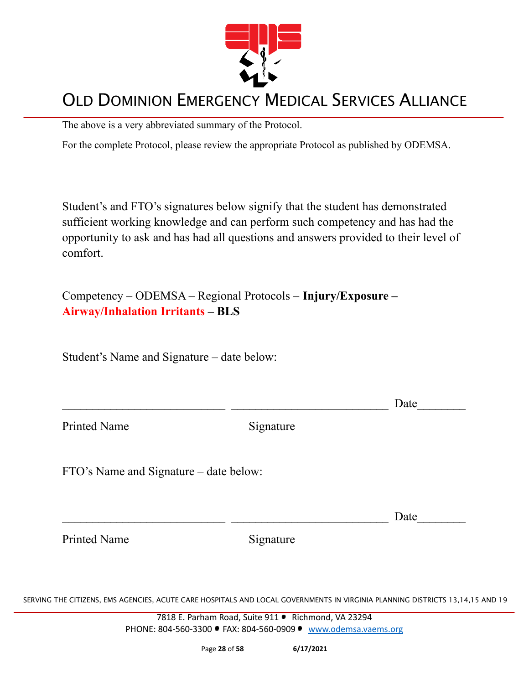

The above is a very abbreviated summary of the Protocol.

For the complete Protocol, please review the appropriate Protocol as published by ODEMSA.

Student's and FTO's signatures below signify that the student has demonstrated sufficient working knowledge and can perform such competency and has had the opportunity to ask and has had all questions and answers provided to their level of comfort.

Competency – ODEMSA – Regional Protocols – **Injury/Exposure – Airway/Inhalation Irritants – BLS**

Student's Name and Signature – date below:

| <b>Printed Name</b>                    | Signature |      |
|----------------------------------------|-----------|------|
| FTO's Name and Signature – date below: |           |      |
|                                        |           |      |
| <b>Printed Name</b>                    | Signature | Date |

7818 E. Parham Road, Suite 911 · Richmond, VA 23294 PHONE: 804-560-3300 FAX: 804-560-0909 [www.odemsa.vaems.org](http://www.odemsa.vaems.org)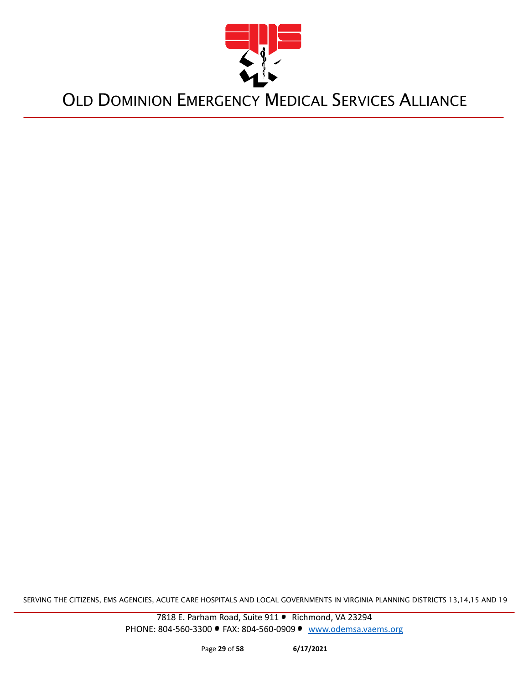

SERVING THE CITIZENS, EMS AGENCIES, ACUTE CARE HOSPITALS AND LOCAL GOVERNMENTS IN VIRGINIA PLANNING DISTRICTS 13,14,15 AND 19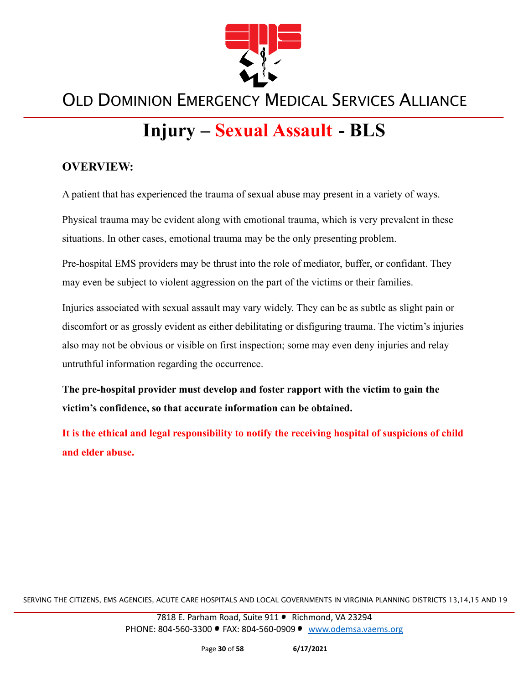

# **Injury – Sexual Assault - BLS**

#### **OVERVIEW:**

A patient that has experienced the trauma of sexual abuse may present in a variety of ways.

Physical trauma may be evident along with emotional trauma, which is very prevalent in these situations. In other cases, emotional trauma may be the only presenting problem.

Pre-hospital EMS providers may be thrust into the role of mediator, buffer, or confidant. They may even be subject to violent aggression on the part of the victims or their families.

Injuries associated with sexual assault may vary widely. They can be as subtle as slight pain or discomfort or as grossly evident as either debilitating or disfiguring trauma. The victim's injuries also may not be obvious or visible on first inspection; some may even deny injuries and relay untruthful information regarding the occurrence.

**The pre-hospital provider must develop and foster rapport with the victim to gain the victim's confidence, so that accurate information can be obtained.**

**It is the ethical and legal responsibility to notify the receiving hospital of suspicions of child and elder abuse.**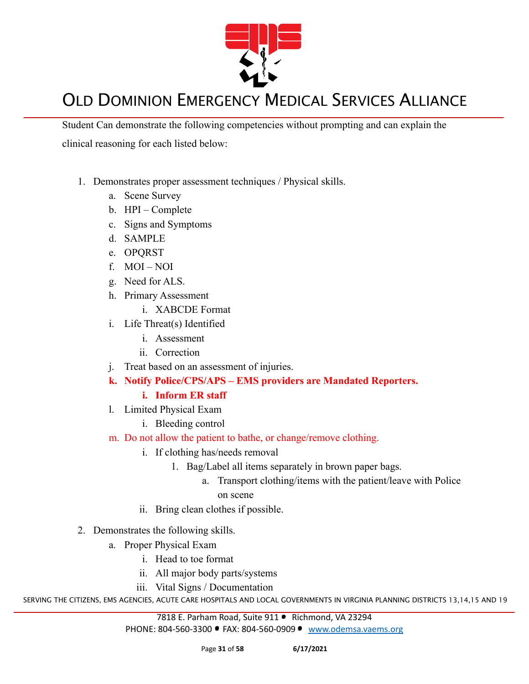

Student Can demonstrate the following competencies without prompting and can explain the clinical reasoning for each listed below:

- 1. Demonstrates proper assessment techniques / Physical skills.
	- a. Scene Survey
	- b. HPI Complete
	- c. Signs and Symptoms
	- d. SAMPLE
	- e. OPQRST
	- f. MOI NOI
	- g. Need for ALS.
	- h. Primary Assessment
		- i. XABCDE Format
	- i. Life Threat(s) Identified
		- i. Assessment
		- ii. Correction
	- j. Treat based on an assessment of injuries.
	- **k. Notify Police/CPS/APS EMS providers are Mandated Reporters.**

#### **i. Inform ER staff**

- l. Limited Physical Exam
	- i. Bleeding control
- m. Do not allow the patient to bathe, or change/remove clothing.
	- i. If clothing has/needs removal
		- 1. Bag/Label all items separately in brown paper bags.
			- a. Transport clothing/items with the patient/leave with Police on scene
	- ii. Bring clean clothes if possible.
- 2. Demonstrates the following skills.
	- a. Proper Physical Exam
		- i. Head to toe format
		- ii. All major body parts/systems
		- iii. Vital Signs / Documentation

SERVING THE CITIZENS, EMS AGENCIES, ACUTE CARE HOSPITALS AND LOCAL GOVERNMENTS IN VIRGINIA PLANNING DISTRICTS 13,14,15 AND 19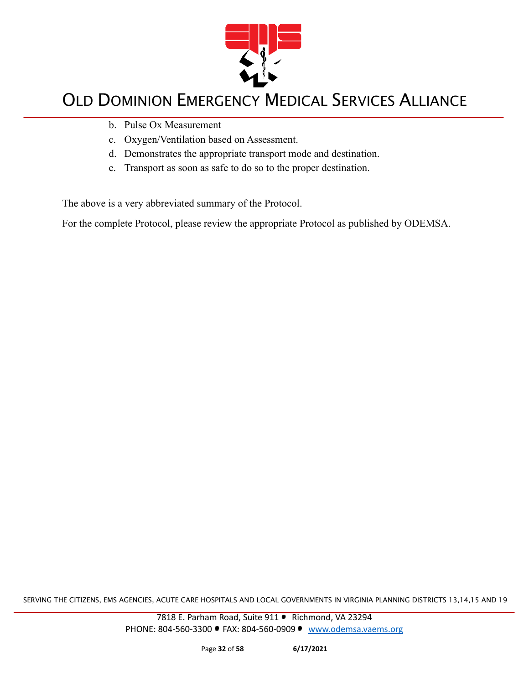

- b. Pulse Ox Measurement
- c. Oxygen/Ventilation based on Assessment.
- d. Demonstrates the appropriate transport mode and destination.
- e. Transport as soon as safe to do so to the proper destination.

The above is a very abbreviated summary of the Protocol.

For the complete Protocol, please review the appropriate Protocol as published by ODEMSA.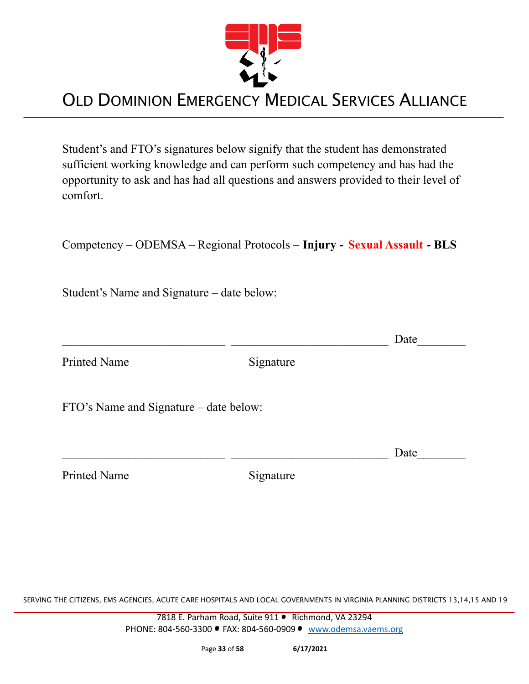

Student's and FTO's signatures below signify that the student has demonstrated sufficient working knowledge and can perform such competency and has had the opportunity to ask and has had all questions and answers provided to their level of comfort.

Competency – ODEMSA – Regional Protocols – **Injury - Sexual Assault - BLS**

Student's Name and Signature – date below:

|                                        |           | Date |
|----------------------------------------|-----------|------|
| <b>Printed Name</b>                    | Signature |      |
| FTO's Name and Signature – date below: |           |      |
|                                        |           | Date |
| <b>Printed Name</b>                    | Signature |      |

SERVING THE CITIZENS, EMS AGENCIES, ACUTE CARE HOSPITALS AND LOCAL GOVERNMENTS IN VIRGINIA PLANNING DISTRICTS 13,14,15 AND 19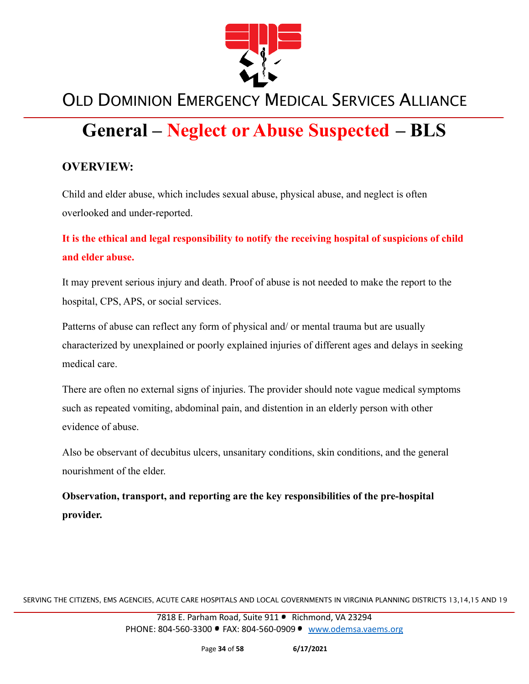

# **General – Neglect or Abuse Suspected – BLS**

#### **OVERVIEW:**

Child and elder abuse, which includes sexual abuse, physical abuse, and neglect is often overlooked and under-reported.

#### **It is the ethical and legal responsibility to notify the receiving hospital of suspicions of child and elder abuse.**

It may prevent serious injury and death. Proof of abuse is not needed to make the report to the hospital, CPS, APS, or social services.

Patterns of abuse can reflect any form of physical and/ or mental trauma but are usually characterized by unexplained or poorly explained injuries of different ages and delays in seeking medical care.

There are often no external signs of injuries. The provider should note vague medical symptoms such as repeated vomiting, abdominal pain, and distention in an elderly person with other evidence of abuse.

Also be observant of decubitus ulcers, unsanitary conditions, skin conditions, and the general nourishment of the elder.

**Observation, transport, and reporting are the key responsibilities of the pre-hospital provider.**

SERVING THE CITIZENS, EMS AGENCIES, ACUTE CARE HOSPITALS AND LOCAL GOVERNMENTS IN VIRGINIA PLANNING DISTRICTS 13,14,15 AND 19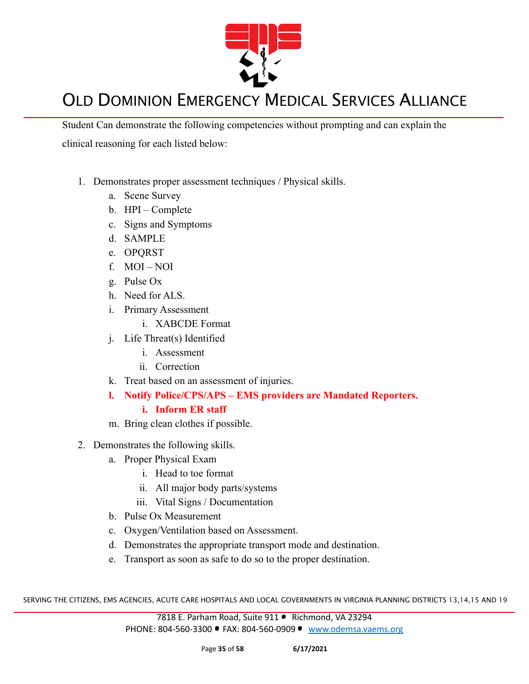

Student Can demonstrate the following competencies without prompting and can explain the clinical reasoning for each listed below:

- 1. Demonstrates proper assessment techniques / Physical skills.
	- a. Scene Survey
	- b. HPI Complete
	- c. Signs and Symptoms
	- d. SAMPLE
	- e. OPQRST
	- f. MOI NOI
	- g. Pulse Ox
	- h. Need for ALS.
	- i. Primary Assessment
		- i. XABCDE Format
	- j. Life Threat(s) Identified
		- i. Assessment
		- ii. Correction
	- k. Treat based on an assessment of injuries.
	- **l. Notify Police/CPS/APS EMS providers are Mandated Reporters.**

#### **i. Inform ER staff**

- m. Bring clean clothes if possible.
- 2. Demonstrates the following skills.
	- a. Proper Physical Exam
		- i. Head to toe format
		- ii. All major body parts/systems
		- iii. Vital Signs / Documentation
	- b. Pulse Ox Measurement
	- c. Oxygen/Ventilation based on Assessment.
	- d. Demonstrates the appropriate transport mode and destination.
	- e. Transport as soon as safe to do so to the proper destination.

SERVING THE CITIZENS, EMS AGENCIES, ACUTE CARE HOSPITALS AND LOCAL GOVERNMENTS IN VIRGINIA PLANNING DISTRICTS 13,14,15 AND 19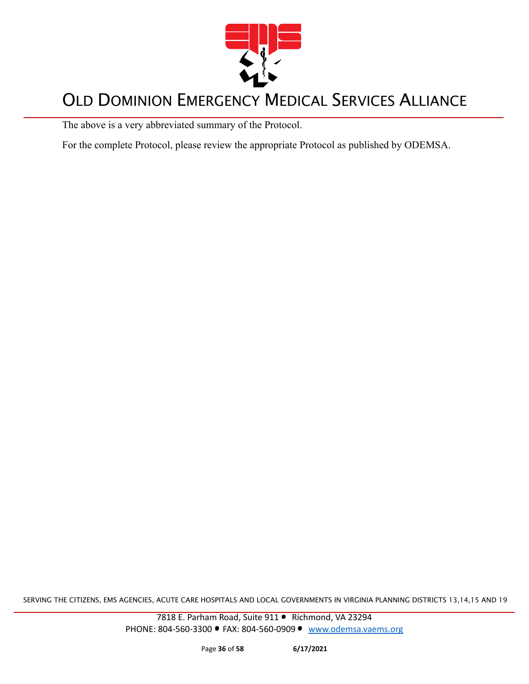

The above is a very abbreviated summary of the Protocol.

For the complete Protocol, please review the appropriate Protocol as published by ODEMSA.

SERVING THE CITIZENS, EMS AGENCIES, ACUTE CARE HOSPITALS AND LOCAL GOVERNMENTS IN VIRGINIA PLANNING DISTRICTS 13,14,15 AND 19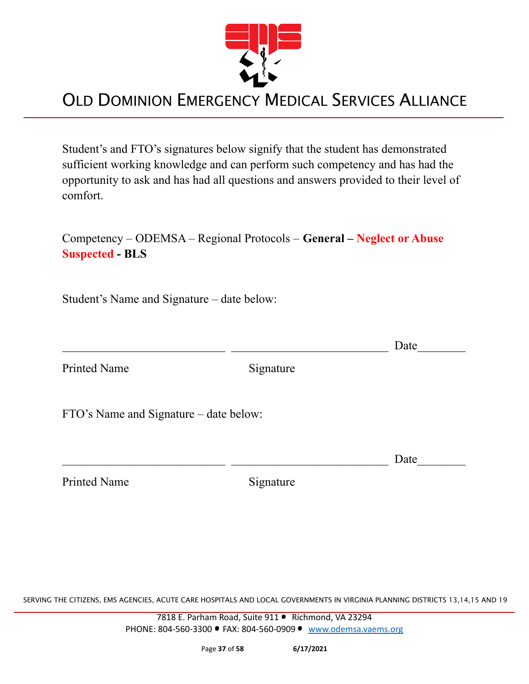

Student's and FTO's signatures below signify that the student has demonstrated sufficient working knowledge and can perform such competency and has had the opportunity to ask and has had all questions and answers provided to their level of comfort.

#### Competency – ODEMSA – Regional Protocols – **General – Neglect or Abuse Suspected - BLS**

Student's Name and Signature – date below:

 $\Box$  Date

Printed Name Signature

FTO's Name and Signature – date below:

 $\Box$  Date

Printed Name Signature

SERVING THE CITIZENS, EMS AGENCIES, ACUTE CARE HOSPITALS AND LOCAL GOVERNMENTS IN VIRGINIA PLANNING DISTRICTS 13,14,15 AND 19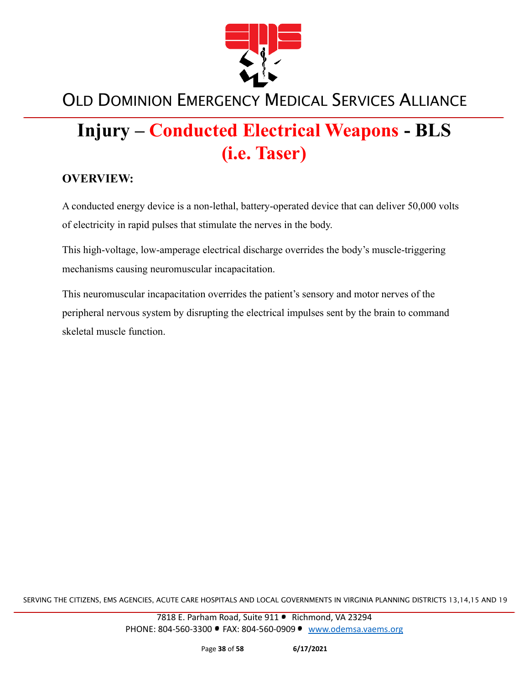

# **Injury – Conducted Electrical Weapons - BLS (i.e. Taser)**

#### **OVERVIEW:**

A conducted energy device is a non-lethal, battery-operated device that can deliver 50,000 volts of electricity in rapid pulses that stimulate the nerves in the body.

This high-voltage, low-amperage electrical discharge overrides the body's muscle-triggering mechanisms causing neuromuscular incapacitation.

This neuromuscular incapacitation overrides the patient's sensory and motor nerves of the peripheral nervous system by disrupting the electrical impulses sent by the brain to command skeletal muscle function.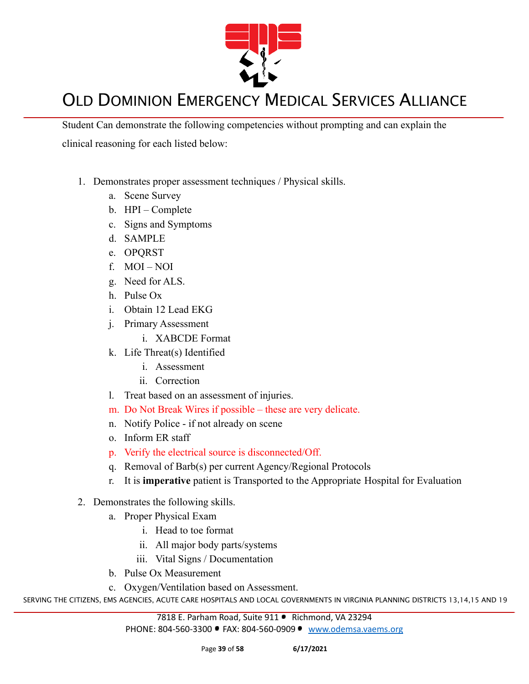

Student Can demonstrate the following competencies without prompting and can explain the clinical reasoning for each listed below:

- 1. Demonstrates proper assessment techniques / Physical skills.
	- a. Scene Survey
	- b. HPI Complete
	- c. Signs and Symptoms
	- d. SAMPLE
	- e. OPQRST
	- f. MOI NOI
	- g. Need for ALS.
	- h. Pulse Ox
	- i. Obtain 12 Lead EKG
	- j. Primary Assessment
		- i. XABCDE Format
	- k. Life Threat(s) Identified
		- i. Assessment
		- ii. Correction
	- l. Treat based on an assessment of injuries.
	- m. Do Not Break Wires if possible these are very delicate.
	- n. Notify Police if not already on scene
	- o. Inform ER staff
	- p. Verify the electrical source is disconnected/Off.
	- q. Removal of Barb(s) per current Agency/Regional Protocols
	- r. It is **imperative** patient is Transported to the Appropriate Hospital for Evaluation
- 2. Demonstrates the following skills.
	- a. Proper Physical Exam
		- i. Head to toe format
		- ii. All major body parts/systems
		- iii. Vital Signs / Documentation
	- b. Pulse Ox Measurement
	- c. Oxygen/Ventilation based on Assessment.

SERVING THE CITIZENS, EMS AGENCIES, ACUTE CARE HOSPITALS AND LOCAL GOVERNMENTS IN VIRGINIA PLANNING DISTRICTS 13,14,15 AND 19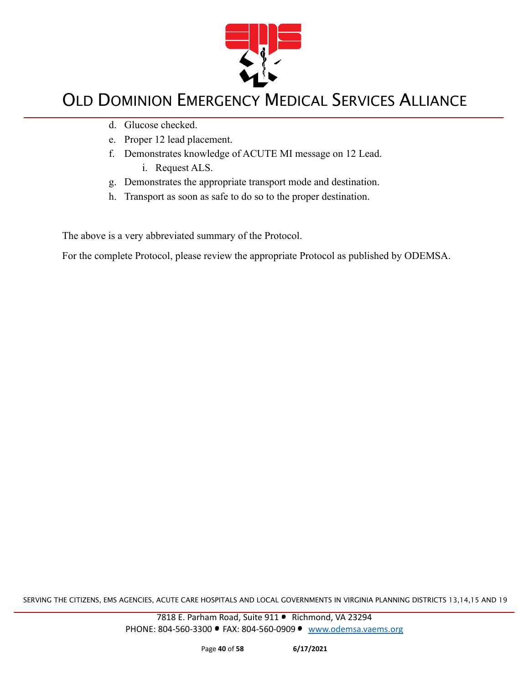

- d. Glucose checked.
- e. Proper 12 lead placement.
- f. Demonstrates knowledge of ACUTE MI message on 12 Lead.
	- i. Request ALS.
- g. Demonstrates the appropriate transport mode and destination.
- h. Transport as soon as safe to do so to the proper destination.

The above is a very abbreviated summary of the Protocol.

For the complete Protocol, please review the appropriate Protocol as published by ODEMSA.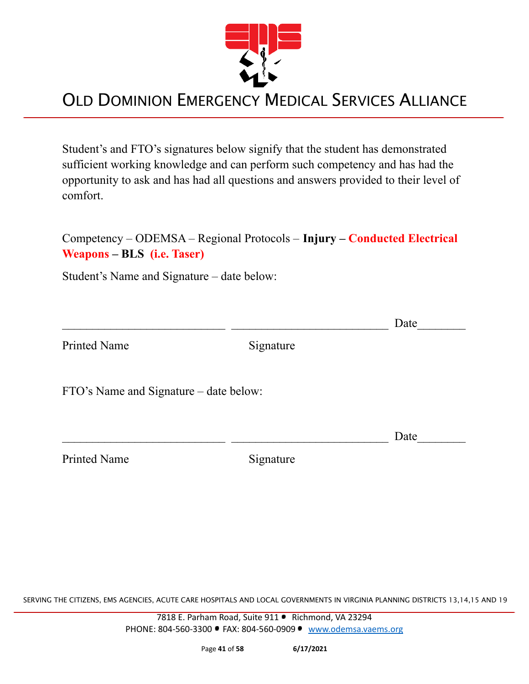

Student's and FTO's signatures below signify that the student has demonstrated sufficient working knowledge and can perform such competency and has had the opportunity to ask and has had all questions and answers provided to their level of comfort.

| Competency – ODEMSA – Regional Protocols – Injury – Conducted Electrical |
|--------------------------------------------------------------------------|
| Weapons – BLS (i.e. Taser)                                               |

Student's Name and Signature – date below:

|                                        |           | Date |
|----------------------------------------|-----------|------|
| <b>Printed Name</b>                    | Signature |      |
| FTO's Name and Signature – date below: |           |      |
|                                        |           | Date |
| <b>Printed Name</b>                    | Signature |      |

SERVING THE CITIZENS, EMS AGENCIES, ACUTE CARE HOSPITALS AND LOCAL GOVERNMENTS IN VIRGINIA PLANNING DISTRICTS 13,14,15 AND 19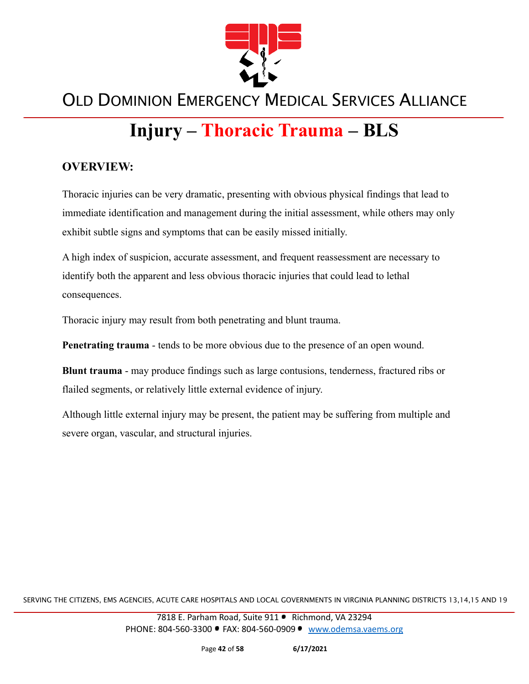

# **Injury – Thoracic Trauma – BLS**

#### **OVERVIEW:**

Thoracic injuries can be very dramatic, presenting with obvious physical findings that lead to immediate identification and management during the initial assessment, while others may only exhibit subtle signs and symptoms that can be easily missed initially.

A high index of suspicion, accurate assessment, and frequent reassessment are necessary to identify both the apparent and less obvious thoracic injuries that could lead to lethal consequences.

Thoracic injury may result from both penetrating and blunt trauma.

**Penetrating trauma** - tends to be more obvious due to the presence of an open wound.

**Blunt trauma** - may produce findings such as large contusions, tenderness, fractured ribs or flailed segments, or relatively little external evidence of injury.

Although little external injury may be present, the patient may be suffering from multiple and severe organ, vascular, and structural injuries.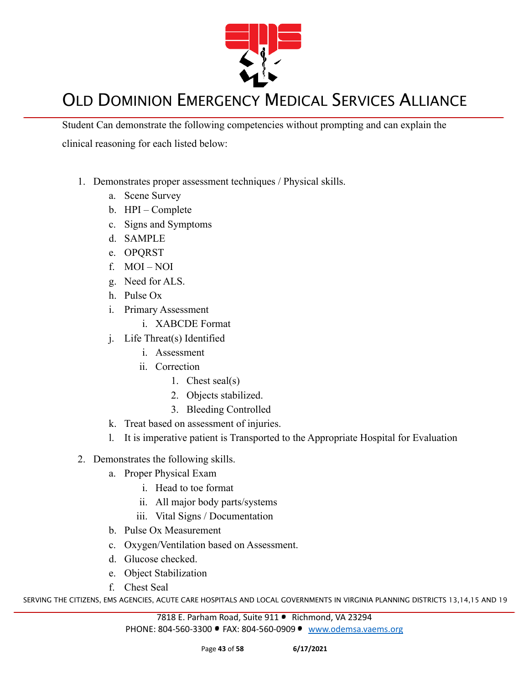

Student Can demonstrate the following competencies without prompting and can explain the clinical reasoning for each listed below:

- 1. Demonstrates proper assessment techniques / Physical skills.
	- a. Scene Survey
	- b. HPI Complete
	- c. Signs and Symptoms
	- d. SAMPLE
	- e. OPQRST
	- f. MOI NOI
	- g. Need for ALS.
	- h. Pulse Ox
	- i. Primary Assessment
		- i. XABCDE Format
	- j. Life Threat(s) Identified
		- i. Assessment
		- ii. Correction
			- 1. Chest seal(s)
			- 2. Objects stabilized.
			- 3. Bleeding Controlled
	- k. Treat based on assessment of injuries.
	- l. It is imperative patient is Transported to the Appropriate Hospital for Evaluation
- 2. Demonstrates the following skills.
	- a. Proper Physical Exam
		- i. Head to toe format
		- ii. All major body parts/systems
		- iii. Vital Signs / Documentation
	- b. Pulse Ox Measurement
	- c. Oxygen/Ventilation based on Assessment.
	- d. Glucose checked.
	- e. Object Stabilization
	- f. Chest Seal

SERVING THE CITIZENS, EMS AGENCIES, ACUTE CARE HOSPITALS AND LOCAL GOVERNMENTS IN VIRGINIA PLANNING DISTRICTS 13,14,15 AND 19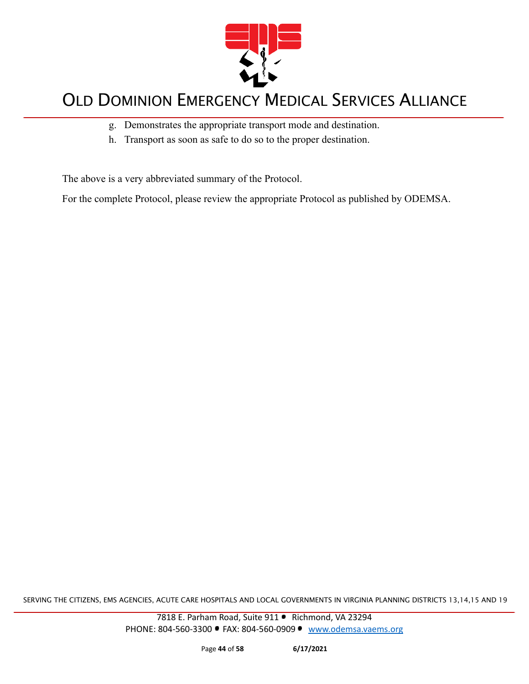

- g. Demonstrates the appropriate transport mode and destination.
- h. Transport as soon as safe to do so to the proper destination.

The above is a very abbreviated summary of the Protocol.

For the complete Protocol, please review the appropriate Protocol as published by ODEMSA.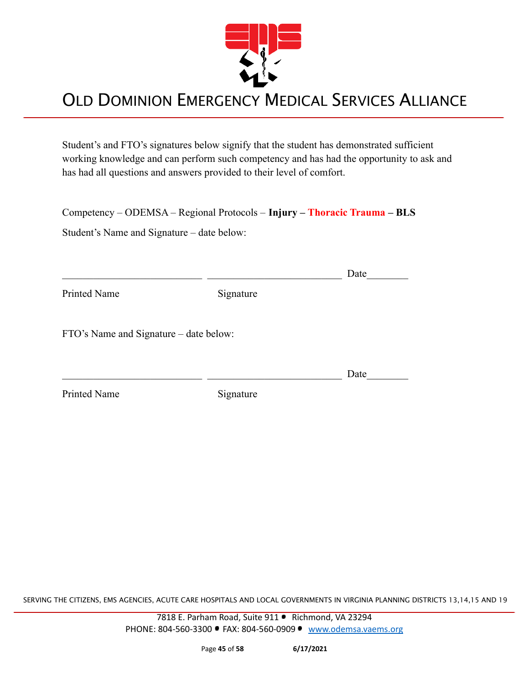

Student's and FTO's signatures below signify that the student has demonstrated sufficient working knowledge and can perform such competency and has had the opportunity to ask and has had all questions and answers provided to their level of comfort.

|  | Competency – ODEMSA – Regional Protocols – Injury – Thoracic Trauma – BLS |  |  |  |
|--|---------------------------------------------------------------------------|--|--|--|
|  |                                                                           |  |  |  |

Student's Name and Signature – date below:

|                                        |           | Date |
|----------------------------------------|-----------|------|
| <b>Printed Name</b>                    | Signature |      |
| FTO's Name and Signature – date below: |           |      |
|                                        |           | Date |
| <b>Printed Name</b>                    | Signature |      |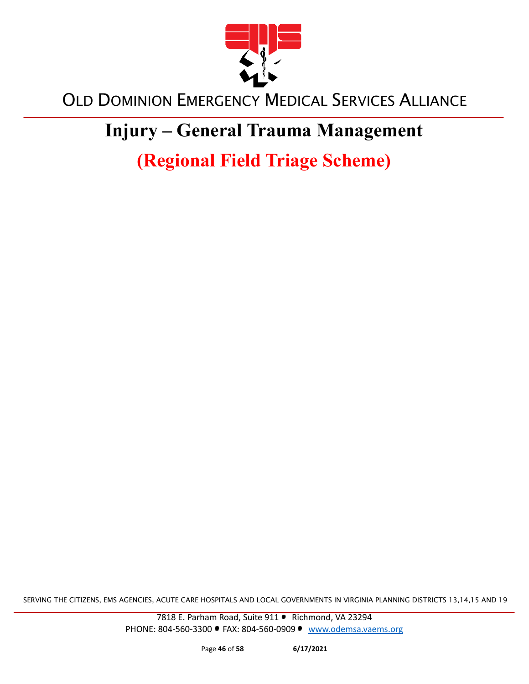

# **Injury – General Trauma Management**

**(Regional Field Triage Scheme)**

SERVING THE CITIZENS, EMS AGENCIES, ACUTE CARE HOSPITALS AND LOCAL GOVERNMENTS IN VIRGINIA PLANNING DISTRICTS 13,14,15 AND 19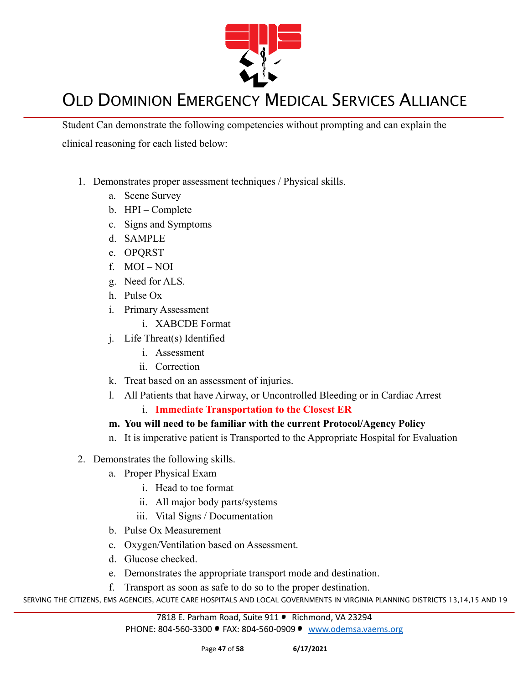

Student Can demonstrate the following competencies without prompting and can explain the clinical reasoning for each listed below:

- 1. Demonstrates proper assessment techniques / Physical skills.
	- a. Scene Survey
	- b. HPI Complete
	- c. Signs and Symptoms
	- d. SAMPLE
	- e. OPQRST
	- f. MOI NOI
	- g. Need for ALS.
	- h. Pulse Ox
	- i. Primary Assessment
		- i. XABCDE Format
	- j. Life Threat(s) Identified
		- i. Assessment
		- ii. Correction
	- k. Treat based on an assessment of injuries.
	- l. All Patients that have Airway, or Uncontrolled Bleeding or in Cardiac Arrest
		- i. **Immediate Transportation to the Closest ER**

#### **m. You will need to be familiar with the current Protocol/Agency Policy**

- n. It is imperative patient is Transported to the Appropriate Hospital for Evaluation
- 2. Demonstrates the following skills.
	- a. Proper Physical Exam
		- i. Head to toe format
		- ii. All major body parts/systems
		- iii. Vital Signs / Documentation
	- b. Pulse Ox Measurement
	- c. Oxygen/Ventilation based on Assessment.
	- d. Glucose checked.
	- e. Demonstrates the appropriate transport mode and destination.
	- f. Transport as soon as safe to do so to the proper destination.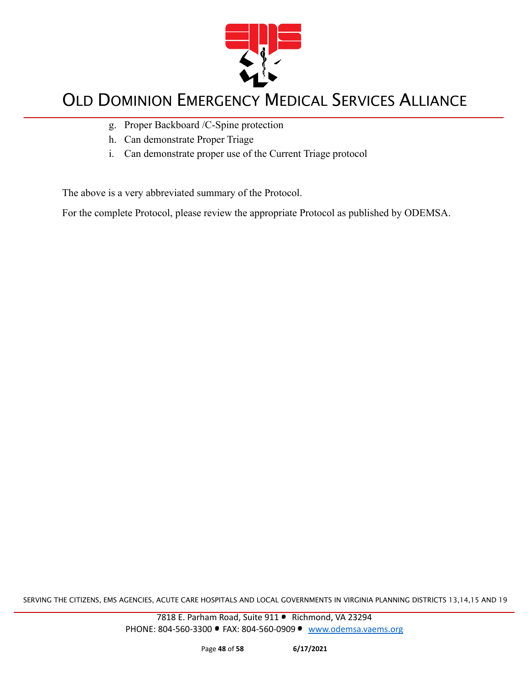

- g. Proper Backboard /C-Spine protection
- h. Can demonstrate Proper Triage
- i. Can demonstrate proper use of the Current Triage protocol

The above is a very abbreviated summary of the Protocol.

For the complete Protocol, please review the appropriate Protocol as published by ODEMSA.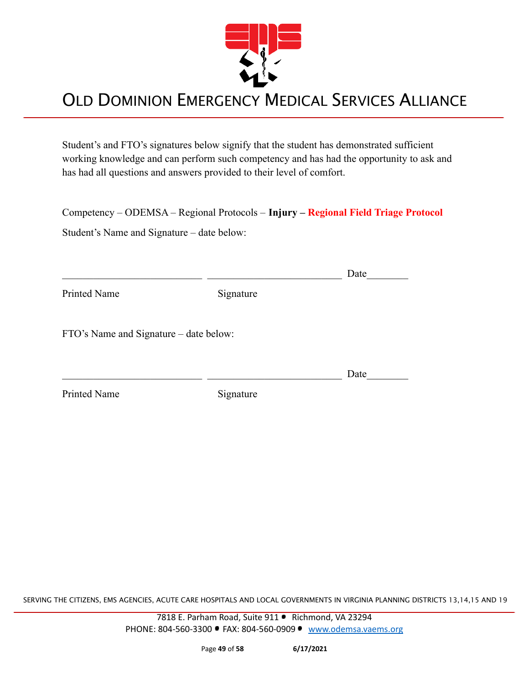

Student's and FTO's signatures below signify that the student has demonstrated sufficient working knowledge and can perform such competency and has had the opportunity to ask and has had all questions and answers provided to their level of comfort.

Competency – ODEMSA – Regional Protocols – **Injury – Regional Field Triage Protocol**

Student's Name and Signature – date below:

|                                        |           | Date |
|----------------------------------------|-----------|------|
| Printed Name                           | Signature |      |
| FTO's Name and Signature – date below: |           |      |
|                                        |           | Date |
| <b>Printed Name</b>                    | Signature |      |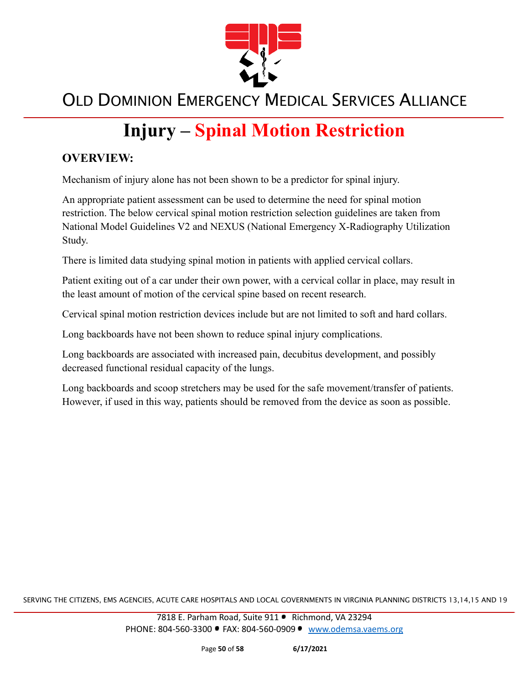

# **Injury – Spinal Motion Restriction**

#### **OVERVIEW:**

Mechanism of injury alone has not been shown to be a predictor for spinal injury.

An appropriate patient assessment can be used to determine the need for spinal motion restriction. The below cervical spinal motion restriction selection guidelines are taken from National Model Guidelines V2 and NEXUS (National Emergency X-Radiography Utilization Study.

There is limited data studying spinal motion in patients with applied cervical collars.

Patient exiting out of a car under their own power, with a cervical collar in place, may result in the least amount of motion of the cervical spine based on recent research.

Cervical spinal motion restriction devices include but are not limited to soft and hard collars.

Long backboards have not been shown to reduce spinal injury complications.

Long backboards are associated with increased pain, decubitus development, and possibly decreased functional residual capacity of the lungs.

Long backboards and scoop stretchers may be used for the safe movement/transfer of patients. However, if used in this way, patients should be removed from the device as soon as possible.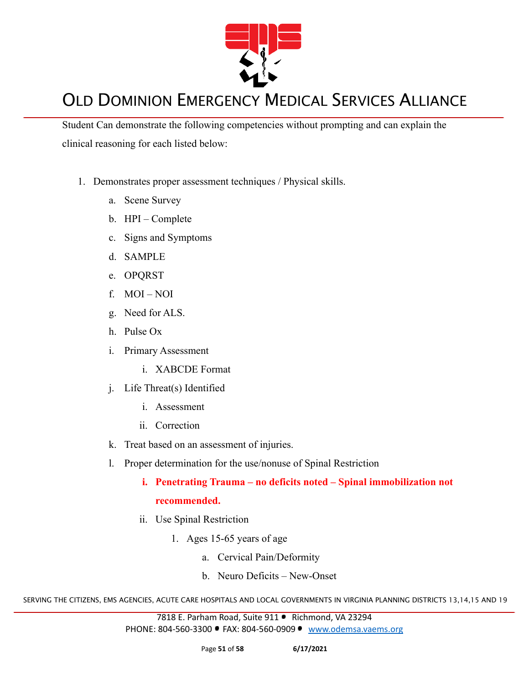

Student Can demonstrate the following competencies without prompting and can explain the clinical reasoning for each listed below:

- 1. Demonstrates proper assessment techniques / Physical skills.
	- a. Scene Survey
	- b. HPI Complete
	- c. Signs and Symptoms
	- d. SAMPLE
	- e. OPQRST
	- f. MOI NOI
	- g. Need for ALS.
	- h. Pulse Ox
	- i. Primary Assessment
		- i. XABCDE Format
	- j. Life Threat(s) Identified
		- i. Assessment
		- ii. Correction
	- k. Treat based on an assessment of injuries.
	- l. Proper determination for the use/nonuse of Spinal Restriction
		- **i. Penetrating Trauma no deficits noted Spinal immobilization not recommended.**
		- ii. Use Spinal Restriction
			- 1. Ages 15-65 years of age
				- a. Cervical Pain/Deformity
				- b. Neuro Deficits New-Onset

SERVING THE CITIZENS, EMS AGENCIES, ACUTE CARE HOSPITALS AND LOCAL GOVERNMENTS IN VIRGINIA PLANNING DISTRICTS 13,14,15 AND 19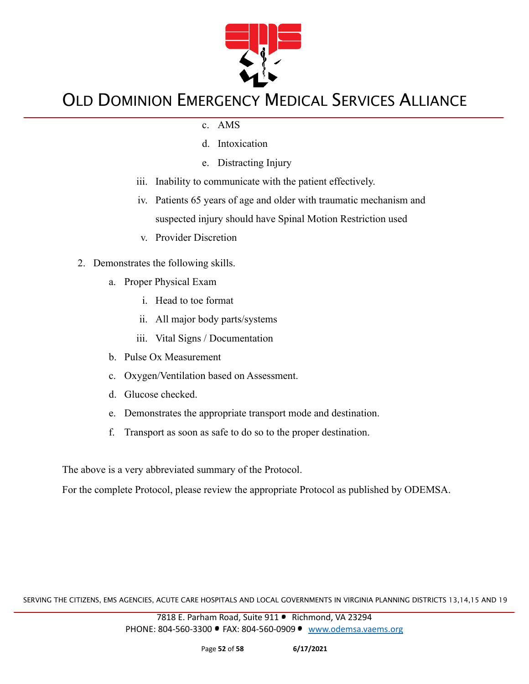

- c. AMS
- d. Intoxication
- e. Distracting Injury
- iii. Inability to communicate with the patient effectively.
- iv. Patients 65 years of age and older with traumatic mechanism and suspected injury should have Spinal Motion Restriction used
- v. Provider Discretion
- 2. Demonstrates the following skills.
	- a. Proper Physical Exam
		- i. Head to toe format
		- ii. All major body parts/systems
		- iii. Vital Signs / Documentation
	- b. Pulse Ox Measurement
	- c. Oxygen/Ventilation based on Assessment.
	- d. Glucose checked.
	- e. Demonstrates the appropriate transport mode and destination.
	- f. Transport as soon as safe to do so to the proper destination.

The above is a very abbreviated summary of the Protocol.

For the complete Protocol, please review the appropriate Protocol as published by ODEMSA.

SERVING THE CITIZENS, EMS AGENCIES, ACUTE CARE HOSPITALS AND LOCAL GOVERNMENTS IN VIRGINIA PLANNING DISTRICTS 13,14,15 AND 19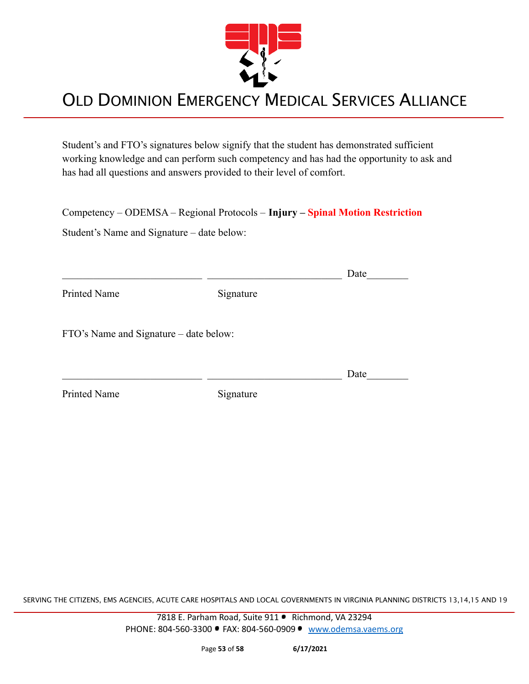

Student's and FTO's signatures below signify that the student has demonstrated sufficient working knowledge and can perform such competency and has had the opportunity to ask and has had all questions and answers provided to their level of comfort.

Competency – ODEMSA – Regional Protocols – **Injury – Spinal Motion Restriction**

Student's Name and Signature – date below:

|                                        |           | Date |
|----------------------------------------|-----------|------|
| <b>Printed Name</b>                    | Signature |      |
| FTO's Name and Signature – date below: |           |      |
|                                        |           | Date |
| <b>Printed Name</b>                    | Signature |      |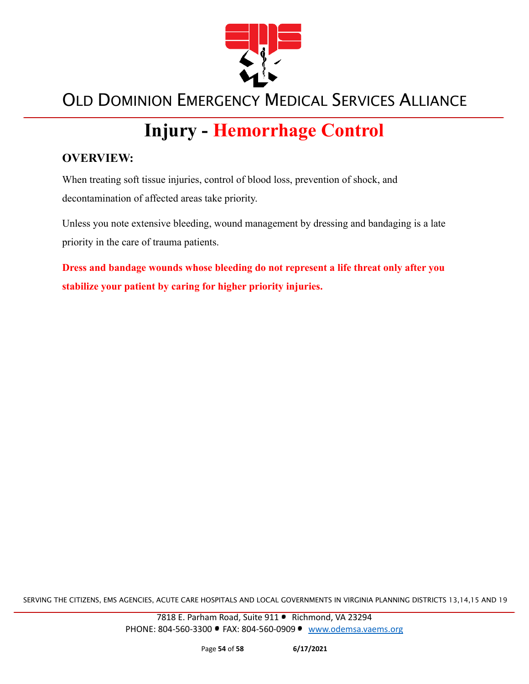

# **Injury - Hemorrhage Control**

#### **OVERVIEW:**

When treating soft tissue injuries, control of blood loss, prevention of shock, and decontamination of affected areas take priority.

Unless you note extensive bleeding, wound management by dressing and bandaging is a late priority in the care of trauma patients.

**Dress and bandage wounds whose bleeding do not represent a life threat only after you stabilize your patient by caring for higher priority injuries.**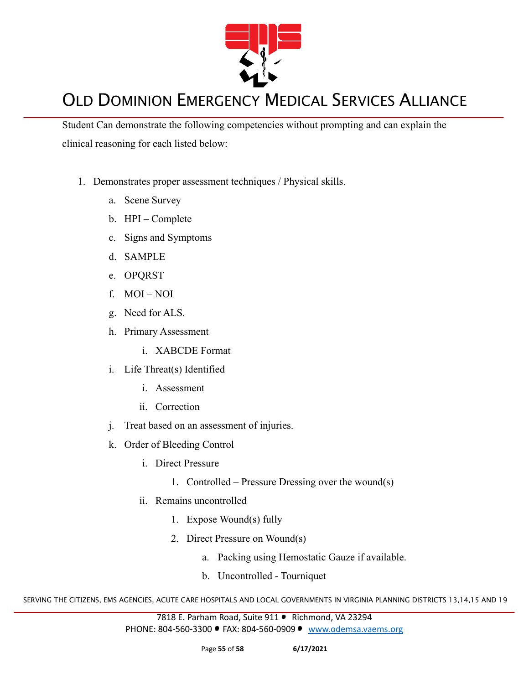

Student Can demonstrate the following competencies without prompting and can explain the clinical reasoning for each listed below:

- 1. Demonstrates proper assessment techniques / Physical skills.
	- a. Scene Survey
	- b. HPI Complete
	- c. Signs and Symptoms
	- d. SAMPLE
	- e. OPQRST
	- f. MOI NOI
	- g. Need for ALS.
	- h. Primary Assessment
		- i. XABCDE Format
	- i. Life Threat(s) Identified
		- i. Assessment
		- ii. Correction
	- j. Treat based on an assessment of injuries.
	- k. Order of Bleeding Control
		- i. Direct Pressure
			- 1. Controlled Pressure Dressing over the wound(s)
		- ii. Remains uncontrolled
			- 1. Expose Wound(s) fully
			- 2. Direct Pressure on Wound(s)
				- a. Packing using Hemostatic Gauze if available.
				- b. Uncontrolled Tourniquet

SERVING THE CITIZENS, EMS AGENCIES, ACUTE CARE HOSPITALS AND LOCAL GOVERNMENTS IN VIRGINIA PLANNING DISTRICTS 13,14,15 AND 19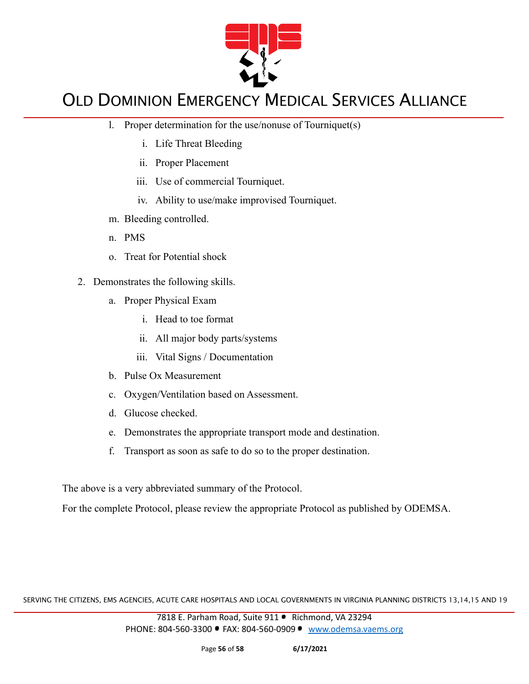

- l. Proper determination for the use/nonuse of Tourniquet(s)
	- i. Life Threat Bleeding
	- ii. Proper Placement
	- iii. Use of commercial Tourniquet.
	- iv. Ability to use/make improvised Tourniquet.
- m. Bleeding controlled.
- n. PMS
- o. Treat for Potential shock
- 2. Demonstrates the following skills.
	- a. Proper Physical Exam
		- i. Head to toe format
		- ii. All major body parts/systems
		- iii. Vital Signs / Documentation
	- b. Pulse Ox Measurement
	- c. Oxygen/Ventilation based on Assessment.
	- d. Glucose checked.
	- e. Demonstrates the appropriate transport mode and destination.
	- f. Transport as soon as safe to do so to the proper destination.

The above is a very abbreviated summary of the Protocol.

For the complete Protocol, please review the appropriate Protocol as published by ODEMSA.

SERVING THE CITIZENS, EMS AGENCIES, ACUTE CARE HOSPITALS AND LOCAL GOVERNMENTS IN VIRGINIA PLANNING DISTRICTS 13,14,15 AND 19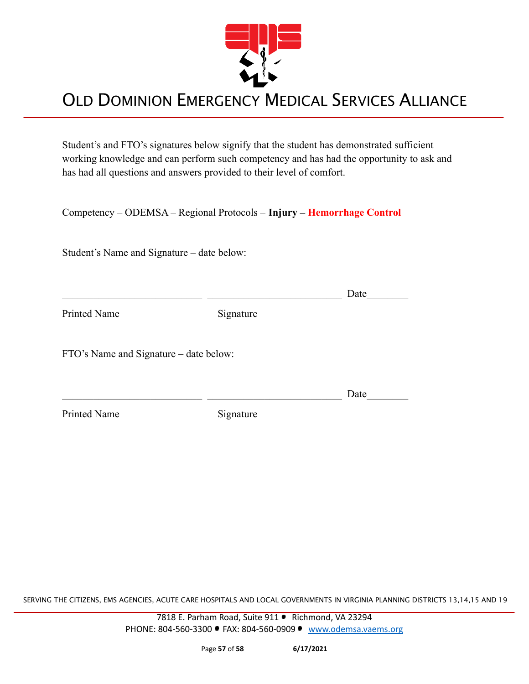

Student's and FTO's signatures below signify that the student has demonstrated sufficient working knowledge and can perform such competency and has had the opportunity to ask and has had all questions and answers provided to their level of comfort.

Competency – ODEMSA – Regional Protocols – **Injury – Hemorrhage Control**

Student's Name and Signature – date below:

 $\Box$  Date

Printed Name Signature

FTO's Name and Signature – date below:

 $\Box$  Date

Printed Name Signature